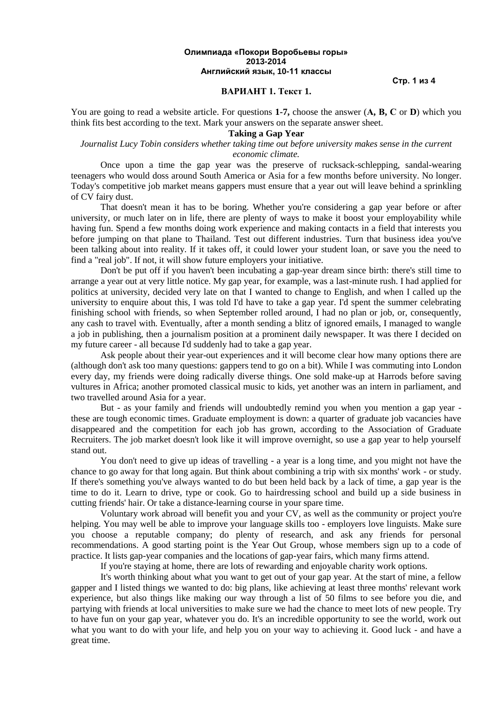**Стр. 1 из 4**

#### **ВАРИАНТ 1. Текст 1.**

You are going to read a website article. For questions **1-7,** choose the answer (**А, В, С** or **D**) which you think fits best according to the text. Mark your answers on the separate answer sheet.

## **Taking a Gap Year**

# *Journalist Lucy Tobin considers whether taking time out before university makes sense in the current economic climate.*

Once upon a time the gap year was the preserve of rucksack-schlepping, sandal-wearing teenagers who would doss around South America or Asia for a few months before university. No longer. Today's competitive job market means gappers must ensure that a year out will leave behind a sprinkling of CV fairy dust.

That doesn't mean it has to be boring. Whether you're considering a gap year before or after university, or much later on in life, there are plenty of ways to make it boost your employability while having fun. Spend a few months doing work experience and making contacts in a field that interests you before jumping on that plane to Thailand. Test out different industries. Turn that business idea you've been talking about into reality. If it takes off, it could lower your student loan, or save you the need to find a "real job". If not, it will show future employers your initiative.

Don't be put off if you haven't been incubating a gap-year dream since birth: there's still time to arrange a year out at very little notice. My gap year, for example, was a last-minute rush. I had applied for politics at university, decided very late on that I wanted to change to English, and when I called up the university to enquire about this, I was told I'd have to take a gap year. I'd spent the summer celebrating finishing school with friends, so when September rolled around, I had no plan or job, or, consequently, any cash to travel with. Eventually, after a month sending a blitz of ignored emails, I managed to wangle a job in publishing, then a journalism position at a prominent daily newspaper. It was there I decided on my future career - all because I'd suddenly had to take a gap year.

Ask people about their year-out experiences and it will become clear how many options there are (although don't ask too many questions: gappers tend to go on a bit). While I was commuting into London every day, my friends were doing radically diverse things. One sold make-up at Harrods before saving vultures in Africa; another promoted classical music to kids, yet another was an intern in parliament, and two travelled around Asia for a year.

But - as your family and friends will undoubtedly remind you when you mention a gap year these are tough economic times. Graduate employment is down: a quarter of graduate job vacancies have disappeared and the competition for each job has grown, according to the Association of Graduate Recruiters. The job market doesn't look like it will improve overnight, so use a gap year to help yourself stand out.

You don't need to give up ideas of travelling - a year is a long time, and you might not have the chance to go away for that long again. But think about combining a trip with six months' work - or study. If there's something you've always wanted to do but been held back by a lack of time, a gap year is the time to do it. Learn to drive, type or cook. Go to hairdressing school and build up a side business in cutting friends' hair. Or take a distance-learning course in your spare time.

Voluntary work abroad will benefit you and your CV, as well as the community or project you're helping. You may well be able to improve your language skills too - employers love linguists. Make sure you choose a reputable company; do plenty of research, and ask any friends for personal recommendations. A good starting point is the Year Out Group, whose members sign up to a code of practice. It lists gap-year companies and the locations of gap-year fairs, which many firms attend.

If you're staying at home, there are lots of rewarding and enjoyable charity work options.

It's worth thinking about what you want to get out of your gap year. At the start of mine, a fellow gapper and I listed things we wanted to do: big plans, like achieving at least three months' relevant work experience, but also things like making our way through a list of 50 films to see before you die, and partying with friends at local universities to make sure we had the chance to meet lots of new people. Try to have fun on your gap year, whatever you do. It's an incredible opportunity to see the world, work out what you want to do with your life, and help you on your way to achieving it. Good luck - and have a great time.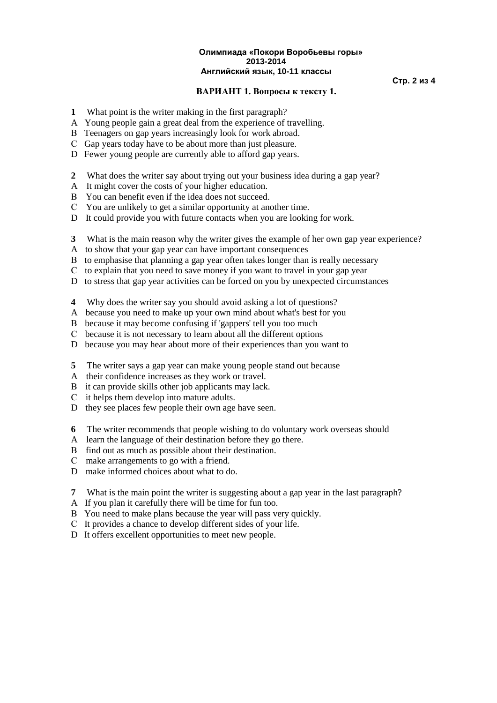### **Стр. 2 из 4**

# **ВАРИАНТ 1. Вопросы к тексту 1.**

- **1** What point is the writer making in the first paragraph?
- A Young people gain a great deal from the experience of travelling.
- В Teenagers on gap years increasingly look for work abroad.
- С Gap years today have to be about more than just pleasure.
- D Fewer young people are currently able to afford gap years.
- **2** What does the writer say about trying out your business idea during a gap year?
- A It might cover the costs of your higher education.
- В You can benefit even if the idea does not succeed.
- С You are unlikely to get a similar opportunity at another time.
- D It could provide you with future contacts when you are looking for work.
- **3** What is the main reason why the writer gives the example of her own gap year experience?
- A to show that your gap year can have important consequences
- В to emphasise that planning a gap year often takes longer than is really necessary
- С to explain that you need to save money if you want to travel in your gap year
- D to stress that gap year activities can be forced on you by unexpected circumstances
- **4** Why does the writer say you should avoid asking a lot of questions?
- A because you need to make up your own mind about what's best for you
- В because it may become confusing if 'gappers' tell you too much
- С because it is not necessary to learn about all the different options
- D because you may hear about more of their experiences than you want to
- **5** The writer says a gap year can make young people stand out because
- A their confidence increases as they work or travel.
- B it can provide skills other job applicants may lack.
- С it helps them develop into mature adults.
- D they see places few people their own age have seen.
- **6** The writer recommends that people wishing to do voluntary work overseas should
- A learn the language of their destination before they go there.
- B find out as much as possible about their destination.
- С make arrangements to go with a friend.
- D make informed choices about what to do.
- **7** What is the main point the writer is suggesting about a gap year in the last paragraph?
- A If you plan it carefully there will be time for fun too.
- В You need to make plans because the year will pass very quickly.
- С It provides a chance to develop different sides of your life.
- D It offers excellent opportunities to meet new people.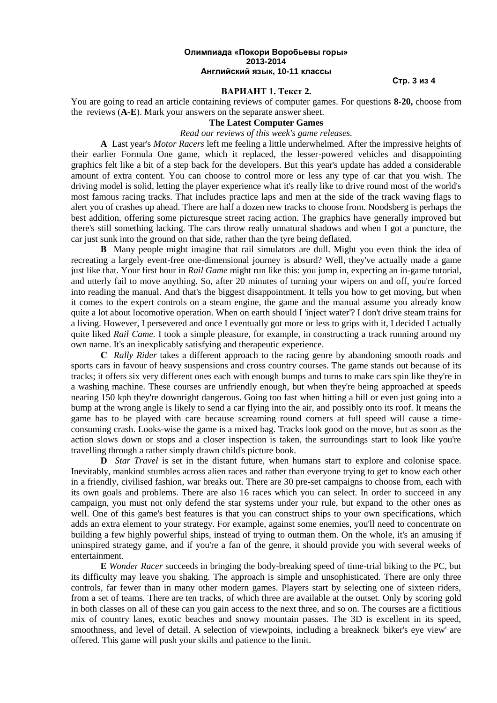#### **Стр. 3 из 4**

#### **ВАРИАНТ 1. Текст 2.**

You are going to read an article containing reviews of computer games. For questions **8-20,** choose from the reviews (**A-E**). Mark your answers on the separate answer sheet.

## **The Latest Computer Games**

### *Read our reviews of this week's game releases.*

**A** Last year's *Motor Racers* left me feeling a little underwhelmed. After the impressive heights of their earlier Formula One game, which it replaced, the lesser-powered vehicles and disappointing graphics felt like a bit of a step back for the developers. But this year's update has added a considerable amount of extra content. You can choose to control more or less any type of car that you wish. The driving model is solid, letting the player experience what it's really like to drive round most of the world's most famous racing tracks. That includes practice laps and men at the side of the track waving flags to alert you of crashes up ahead. There are half a dozen new tracks to choose from. Noodsberg is perhaps the best addition, offering some picturesque street racing action. The graphics have generally improved but there's still something lacking. The cars throw really unnatural shadows and when I got a puncture, the car just sunk into the ground on that side, rather than the tyre being deflated.

**В** Many people might imagine that rail simulators are dull. Might you even think the idea of recreating a largely event-free one-dimensional journey is absurd? Well, they've actually made a game just like that. Your first hour in *Rail Game* might run like this: you jump in, expecting an in-game tutorial, and utterly fail to move anything. So, after 20 minutes of turning your wipers on and off, you're forced into reading the manual. And that's the biggest disappointment. It tells you how to get moving, but when it comes to the expert controls on a steam engine, the game and the manual assume you already know quite a lot about locomotive operation. When on earth should I 'inject water'? I don't drive steam trains for a living. However, I persevered and once I eventually got more or less to grips with it, I decided I actually quite liked *Rail Came*. I took a simple pleasure, for example, in constructing a track running around my own name. It's an inexplicably satisfying and therapeutic experience.

**С** *Rally Rider* takes a different approach to the racing genre by abandoning smooth roads and sports cars in favour of heavy suspensions and cross country courses. The game stands out because of its tracks; it offers six very different ones each with enough bumps and turns to make cars spin like they're in a washing machine. These courses are unfriendly enough, but when they're being approached at speeds nearing 150 kph they're downright dangerous. Going too fast when hitting a hill or even just going into a bump at the wrong angle is likely to send a car flying into the air, and possibly onto its roof. It means the game has to be played with care because screaming round corners at full speed will cause a timeconsuming crash. Looks-wise the game is a mixed bag. Tracks look good on the move, but as soon as the action slows down or stops and a closer inspection is taken, the surroundings start to look like you're travelling through a rather simply drawn child's picture book.

**D** *Star Travel* is set in the distant future, when humans start to explore and colonise space. Inevitably, mankind stumbles across alien races and rather than everyone trying to get to know each other in a friendly, civilised fashion, war breaks out. There are 30 pre-set campaigns to choose from, each with its own goals and problems. There are also 16 races which you can select. In order to succeed in any campaign, you must not only defend the star systems under your rule, but expand to the other ones as well. One of this game's best features is that you can construct ships to your own specifications, which adds an extra element to your strategy. For example, against some enemies, you'll need to concentrate on building a few highly powerful ships, instead of trying to outman them. On the whole, it's an amusing if uninspired strategy game, and if you're a fan of the genre, it should provide you with several weeks of entertainment.

**E** *Wonder Racer* succeeds in bringing the body-breaking speed of time-trial biking to the PC, but its difficulty may leave you shaking. The approach is simple and unsophisticated. There are only three controls, far fewer than in many other modern games. Players start by selecting one of sixteen riders, from a set of teams. There are ten tracks, of which three are available at the outset. Only by scoring gold in both classes on all of these can you gain access to the next three, and so on. The courses are a fictitious mix of country lanes, exotic beaches and snowy mountain passes. The 3D is excellent in its speed, smoothness, and level of detail. A selection of viewpoints, including a breakneck 'biker's eye view' are offered. This game will push your skills and patience to the limit.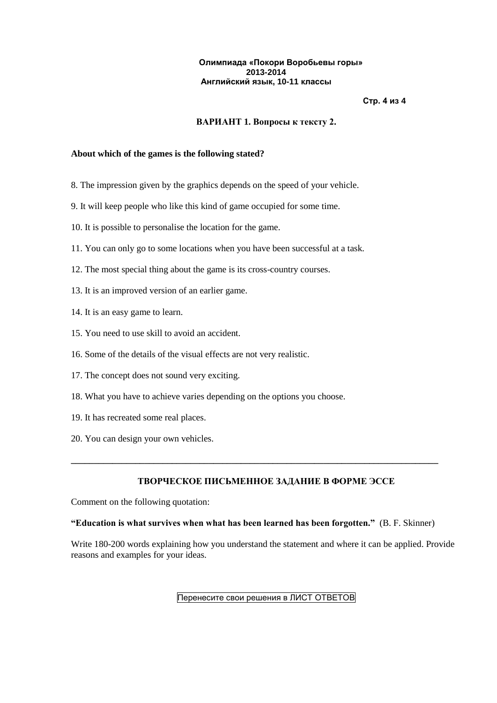# **Стр. 4 из 4**

## **ВАРИАНТ 1. Вопросы к тексту 2.**

## **About which of the games is the following stated?**

- 8. The impression given by the graphics depends on the speed of your vehicle.
- 9. It will keep people who like this kind of game occupied for some time.
- 10. It is possible to personalise the location for the game.
- 11. You can only go to some locations when you have been successful at a task.
- 12. The most special thing about the game is its cross-country courses.
- 13. It is an improved version of an earlier game.
- 14. It is an easy game to learn.
- 15. You need to use skill to avoid an accident.
- 16. Some of the details of the visual effects are not very realistic.
- 17. The concept does not sound very exciting.
- 18. What you have to achieve varies depending on the options you choose.
- 19. It has recreated some real places.
- 20. You can design your own vehicles.

# **ТВОРЧЕСКОЕ ПИСЬМЕННОЕ ЗАДАНИЕ В ФОРМЕ ЭССЕ**

Comment on the following quotation:

#### **"Education is what survives when what has been learned has been forgotten."** (B. F. Skinner)

**\_\_\_\_\_\_\_\_\_\_\_\_\_\_\_\_\_\_\_\_\_\_\_\_\_\_\_\_\_\_\_\_\_\_\_\_\_\_\_\_\_\_\_\_\_\_\_\_\_\_\_\_\_\_\_\_\_\_\_\_\_\_\_\_\_\_\_\_\_\_\_\_\_\_\_\_\_\_\_\_**

Write 180-200 words explaining how you understand the statement and where it can be applied. Provide reasons and examples for your ideas.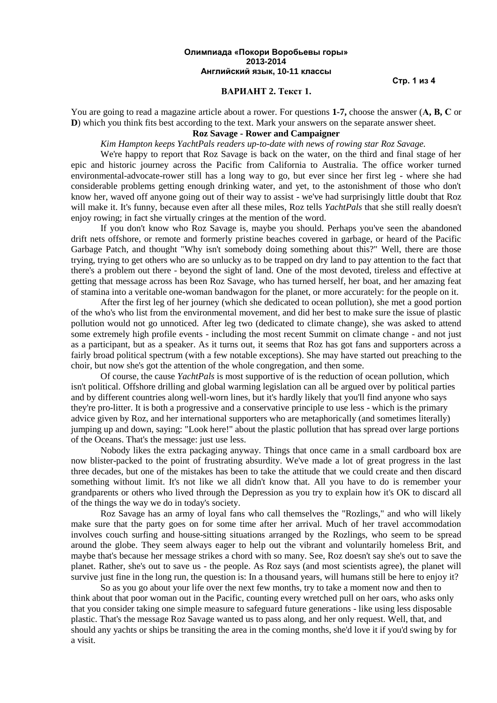**Стр. 1 из 4**

#### **ВАРИАНТ 2. Текст 1.**

You are going to read a magazine article about a rower. For questions **1-7,** choose the answer (**А, В, С** or **D**) which you think fits best according to the text. Mark your answers on the separate answer sheet.

# **Roz Savage - Rower and Campaigner**

*Kim Hampton keeps YachtPals readers up-to-date with news of rowing star Roz Savage.*

We're happy to report that Roz Savage is back on the water, on the third and final stage of her epic and historic journey across the Pacific from California to Australia. The office worker turned environmental-advocate-rower still has a long way to go, but ever since her first leg - where she had considerable problems getting enough drinking water, and yet, to the astonishment of those who don't know her, waved off anyone going out of their way to assist - we've had surprisingly little doubt that Roz will make it. It's funny, because even after all these miles, Roz tells *YachtPals* that she still really doesn't enjoy rowing; in fact she virtually cringes at the mention of the word.

If you don't know who Roz Savage is, maybe you should. Perhaps you've seen the abandoned drift nets offshore, or remote and formerly pristine beaches covered in garbage, or heard of the Pacific Garbage Patch, and thought "Why isn't somebody doing something about this?" Well, there are those trying, trying to get others who are so unlucky as to be trapped on dry land to pay attention to the fact that there's a problem out there - beyond the sight of land. One of the most devoted, tireless and effective at getting that message across has been Roz Savage, who has turned herself, her boat, and her amazing feat of stamina into a veritable one-woman bandwagon for the planet, or more accurately: for the people on it.

After the first leg of her journey (which she dedicated to ocean pollution), she met a good portion of the who's who list from the environmental movement, and did her best to make sure the issue of plastic pollution would not go unnoticed. After leg two (dedicated to climate change), she was asked to attend some extremely high profile events - including the most recent Summit on climate change - and not just as a participant, but as a speaker. As it turns out, it seems that Roz has got fans and supporters across a fairly broad political spectrum (with a few notable exceptions). She may have started out preaching to the choir, but now she's got the attention of the whole congregation, and then some.

Of course, the cause *YachtPals* is most supportive of is the reduction of ocean pollution, which isn't political. Offshore drilling and global warming legislation can all be argued over by political parties and by different countries along well-worn lines, but it's hardly likely that you'll find anyone who says they're pro-litter. It is both a progressive and a conservative principle to use less - which is the primary advice given by Roz, and her international supporters who are metaphorically (and sometimes literally) jumping up and down, saying: "Look here!" about the plastic pollution that has spread over large portions of the Oceans. That's the message: just use less.

Nobody likes the extra packaging anyway. Things that once came in a small cardboard box are now blister-packed to the point of frustrating absurdity. We've made a lot of great progress in the last three decades, but one of the mistakes has been to take the attitude that we could create and then discard something without limit. It's not like we all didn't know that. All you have to do is remember your grandparents or others who lived through the Depression as you try to explain how it's OK to discard all of the things the way we do in today's society.

Roz Savage has an army of loyal fans who call themselves the "Rozlings," and who will likely make sure that the party goes on for some time after her arrival. Much of her travel accommodation involves couch surfing and house-sitting situations arranged by the Rozlings, who seem to be spread around the globe. They seem always eager to help out the vibrant and voluntarily homeless Brit, and maybe that's because her message strikes a chord with so many. See, Roz doesn't say she's out to save the planet. Rather, she's out to save us - the people. As Roz says (and most scientists agree), the planet will survive just fine in the long run, the question is: In a thousand years, will humans still be here to enjoy it?

So as you go about your life over the next few months, try to take a moment now and then to think about that poor woman out in the Pacific, counting every wretched pull on her oars, who asks only that you consider taking one simple measure to safeguard future generations - like using less disposable plastic. That's the message Roz Savage wanted us to pass along, and her only request. Well, that, and should any yachts or ships be transiting the area in the coming months, she'd love it if you'd swing by for a visit.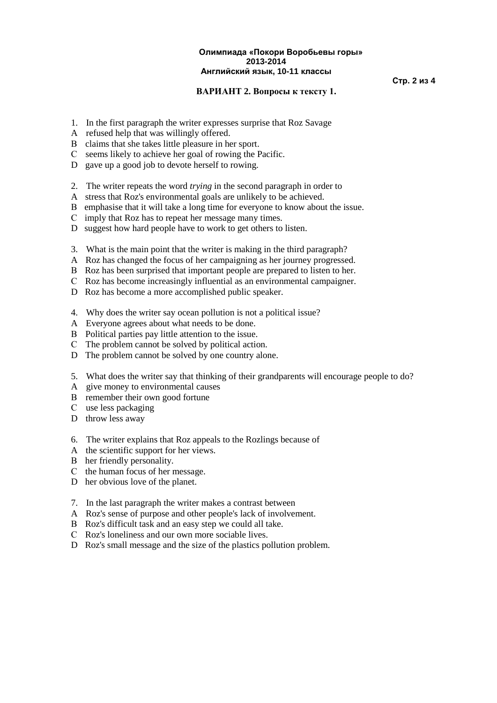#### **Стр. 2 из 4**

## **ВАРИАНТ 2. Вопросы к тексту 1.**

- 1. In the first paragraph the writer expresses surprise that Roz Savage
- A refused help that was willingly offered.
- В claims that she takes little pleasure in her sport.
- С seems likely to achieve her goal of rowing the Pacific.
- D gave up a good job to devote herself to rowing.
- 2. The writer repeats the word *trying* in the second paragraph in order to
- A stress that Roz's environmental goals are unlikely to be achieved.
- В emphasise that it will take a long time for everyone to know about the issue.
- С imply that Roz has to repeat her message many times.
- D suggest how hard people have to work to get others to listen.
- 3. What is the main point that the writer is making in the third paragraph?
- A Roz has changed the focus of her campaigning as her journey progressed.
- В Roz has been surprised that important people are prepared to listen to her.
- С Roz has become increasingly influential as an environmental campaigner.
- D Roz has become a more accomplished public speaker.
- 4. Why does the writer say ocean pollution is not a political issue?
- A Everyone agrees about what needs to be done.
- В Political parties pay little attention to the issue.
- С The problem cannot be solved by political action.
- D The problem cannot be solved by one country alone.
- 5. What does the writer say that thinking of their grandparents will encourage people to do?
- A give money to environmental causes
- В remember their own good fortune
- С use less packaging
- D throw less away
- 6. The writer explains that Roz appeals to the Rozlings because of
- A the scientific support for her views.
- В her friendly personality.
- С the human focus of her message.
- D her obvious love of the planet.
- 7. In the last paragraph the writer makes a contrast between
- A Roz's sense of purpose and other people's lack of involvement.
- В Roz's difficult task and an easy step we could all take.
- С Roz's loneliness and our own more sociable lives.
- D Roz's small message and the size of the plastics pollution problem.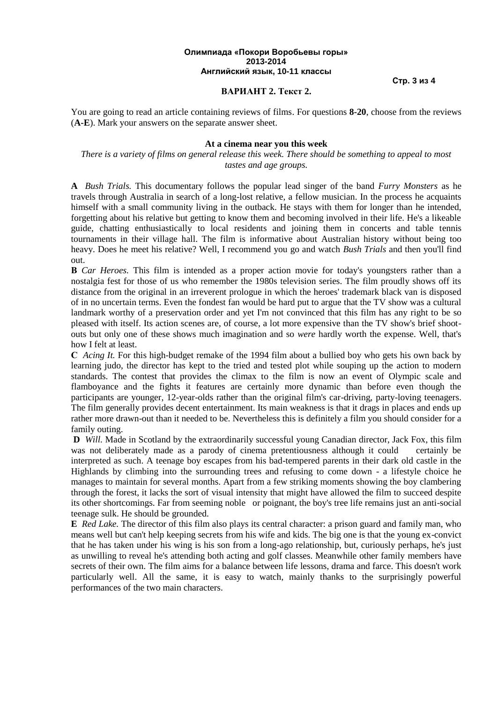**Стр. 3 из 4**

## **ВАРИАНТ 2. Текст 2.**

You are going to read an article containing reviews of films. For questions **8-20**, choose from the reviews (**A-E**). Mark your answers on the separate answer sheet.

# **At a cinema near you this week**

*There is a variety of films on general release this week. There should be something to appeal to most tastes and age groups.*

**A** *Bush Trials.* This documentary follows the popular lead singer of the band *Furry Monsters* as he travels through Australia in search of a long-lost relative, a fellow musician. In the process he acquaints himself with a small community living in the outback. He stays with them for longer than he intended, forgetting about his relative but getting to know them and becoming involved in their life. He's a likeable guide, chatting enthusiastically to local residents and joining them in concerts and table tennis tournaments in their village hall. The film is informative about Australian history without being too heavy. Does he meet his relative? Well, I recommend you go and watch *Bush Trials* and then you'll find out.

**В** *Car Heroes.* This film is intended as a proper action movie for today's youngsters rather than a nostalgia fest for those of us who remember the 1980s television series. The film proudly shows off its distance from the original in an irreverent prologue in which the heroes' trademark black van is disposed of in no uncertain terms. Even the fondest fan would be hard put to argue that the TV show was a cultural landmark worthy of a preservation order and yet I'm not convinced that this film has any right to be so pleased with itself. Its action scenes are, of course, a lot more expensive than the TV show's brief shootouts but only one of these shows much imagination and so *were* hardly worth the expense. Well, that's how I felt at least.

**С** *Acing It.* For this high-budget remake of the 1994 film about a bullied boy who gets his own back by learning judo, the director has kept to the tried and tested plot while souping up the action to modern standards. The contest that provides the climax to the film is now an event of Olympic scale and flamboyance and the fights it features are certainly more dynamic than before even though the participants are younger, 12-year-olds rather than the original film's car-driving, party-loving teenagers. The film generally provides decent entertainment. Its main weakness is that it drags in places and ends up rather more drawn-out than it needed to be. Nevertheless this is definitely a film you should consider for a family outing.

**D** *Will.* Made in Scotland by the extraordinarily successful young Canadian director, Jack Fox, this film was not deliberately made as a parody of cinema pretentiousness although it could certainly be interpreted as such. A teenage boy escapes from his bad-tempered parents in their dark old castle in the Highlands by climbing into the surrounding trees and refusing to come down - a lifestyle choice he manages to maintain for several months. Apart from a few striking moments showing the boy clambering through the forest, it lacks the sort of visual intensity that might have allowed the film to succeed despite its other shortcomings. Far from seeming noble or poignant, the boy's tree life remains just an anti-social teenage sulk. He should be grounded.

**E** *Red Lake.* The director of this film also plays its central character: a prison guard and family man, who means well but can't help keeping secrets from his wife and kids. The big one is that the young ex-convict that he has taken under his wing is his son from a long-ago relationship, but, curiously perhaps, he's just as unwilling to reveal he's attending both acting and golf classes. Meanwhile other family members have secrets of their own. The film aims for a balance between life lessons, drama and farce. This doesn't work particularly well. All the same, it is easy to watch, mainly thanks to the surprisingly powerful performances of the two main characters.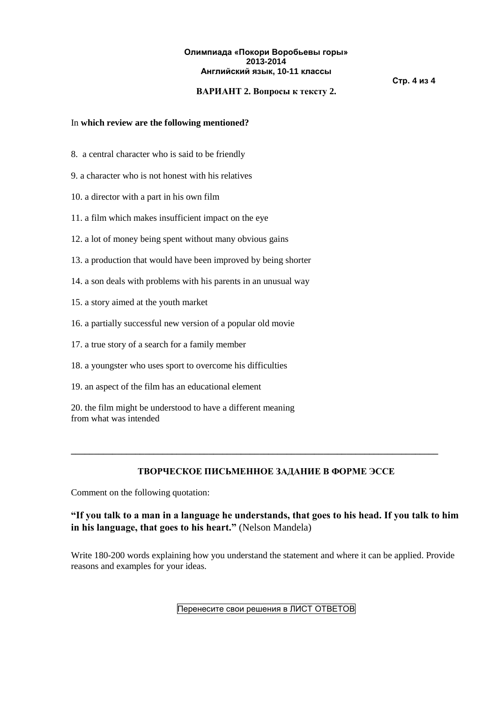# **ВАРИАНТ 2. Вопросы к тексту 2.**

**Стр. 4 из 4**

## In **which review are the following mentioned?**

- 8. a central character who is said to be friendly
- 9. a character who is not honest with his relatives
- 10. a director with a part in his own film
- 11. a film which makes insufficient impact on the eye
- 12. a lot of money being spent without many obvious gains
- 13. a production that would have been improved by being shorter
- 14. a son deals with problems with his parents in an unusual way
- 15. a story aimed at the youth market
- 16. a partially successful new version of a popular old movie
- 17. a true story of a search for a family member
- 18. a youngster who uses sport to overcome his difficulties
- 19. an aspect of the film has an educational element
- 20. the film might be understood to have a different meaning from what was intended

# **ТВОРЧЕСКОЕ ПИСЬМЕННОЕ ЗАДАНИЕ В ФОРМЕ ЭССЕ**

**\_\_\_\_\_\_\_\_\_\_\_\_\_\_\_\_\_\_\_\_\_\_\_\_\_\_\_\_\_\_\_\_\_\_\_\_\_\_\_\_\_\_\_\_\_\_\_\_\_\_\_\_\_\_\_\_\_\_\_\_\_\_\_\_\_\_\_\_\_\_\_\_\_\_\_\_\_\_\_\_**

Comment on the following quotation:

# **"If you talk to a man in a language he understands, that goes to his head. If you talk to him in his language, that goes to his heart."** [\(Nelson Mandela\)](http://www.brainyquote.com/quotes/authors/n/nelson_mandela.html)

Write 180-200 words explaining how you understand the statement and where it can be applied. Provide reasons and examples for your ideas.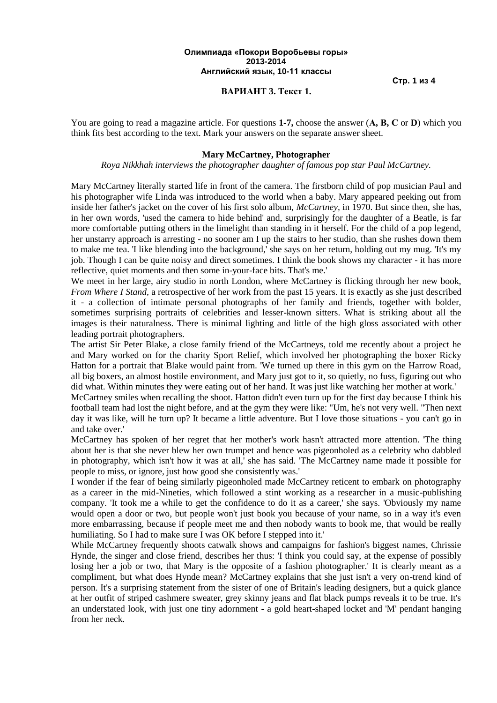**Стр. 1 из 4**

## **ВАРИАНТ 3. Текст 1.**

You are going to read a magazine article. For questions **1-7,** choose the answer (**А, В, С** or **D**) which you think fits best according to the text. Mark your answers on the separate answer sheet.

## **Mary McCartney, Photographer**

*Roya Nikkhah interviews the photographer daughter of famous pop star Paul McCartney.*

Mary McCartney literally started life in front of the camera. The firstborn child of pop musician Paul and his photographer wife Linda was introduced to the world when a baby. Mary appeared peeking out from inside her father's jacket on the cover of his first solo album, *McCartney,* in 1970. But since then, she has, in her own words, 'used the camera to hide behind' and, surprisingly for the daughter of a Beatle, is far more comfortable putting others in the limelight than standing in it herself. For the child of a pop legend, her unstarry approach is arresting - no sooner am I up the stairs to her studio, than she rushes down them to make me tea. 'I like blending into the background,' she says on her return, holding out my mug. 'It's my job. Though I can be quite noisy and direct sometimes. I think the book shows my character - it has more reflective, quiet moments and then some in-your-face bits. That's me.'

We meet in her large, airy studio in north London, where McCartney is flicking through her new book, *From Where I Stand,* a retrospective of her work from the past 15 years. It is exactly as she just described it - a collection of intimate personal photographs of her family and friends, together with bolder, sometimes surprising portraits of celebrities and lesser-known sitters. What is striking about all the images is their naturalness. There is minimal lighting and little of the high gloss associated with other leading portrait photographers.

The artist Sir Peter Blake, a close family friend of the McCartneys, told me recently about a project he and Mary worked on for the charity Sport Relief, which involved her photographing the boxer Ricky Hatton for a portrait that Blake would paint from. 'We turned up there in this gym on the Harrow Road, all big boxers, an almost hostile environment, and Mary just got to it, so quietly, no fuss, figuring out who did what. Within minutes they were eating out of her hand. It was just like watching her mother at work.'

McCartney smiles when recalling the shoot. Hatton didn't even turn up for the first day because I think his football team had lost the night before, and at the gym they were like: "Um, he's not very well. "Then next day it was like, will he turn up? It became a little adventure. But I love those situations - you can't go in and take over.'

McCartney has spoken of her regret that her mother's work hasn't attracted more attention. 'The thing about her is that she never blew her own trumpet and hence was pigeonholed as a celebrity who dabbled in photography, which isn't how it was at all,' she has said. 'The McCartney name made it possible for people to miss, or ignore, just how good she consistently was.'

I wonder if the fear of being similarly pigeonholed made McCartney reticent to embark on photography as a career in the mid-Nineties, which followed a stint working as a researcher in a music-publishing company. 'It took me a while to get the confidence to do it as a career,' she says. 'Obviously my name would open a door or two, but people won't just book you because of your name, so in a way it's even more embarrassing, because if people meet me and then nobody wants to book me, that would be really humiliating. So I had to make sure I was OK before I stepped into it.'

While McCartney frequently shoots catwalk shows and campaigns for fashion's biggest names, Chrissie Hynde, the singer and close friend, describes her thus: 'I think you could say, at the expense of possibly losing her a job or two, that Mary is the opposite of a fashion photographer.' It is clearly meant as a compliment, but what does Hynde mean? McCartney explains that she just isn't a very on-trend kind of person. It's a surprising statement from the sister of one of Britain's leading designers, but a quick glance at her outfit of striped cashmere sweater, grey skinny jeans and flat black pumps reveals it to be true. It's an understated look, with just one tiny adornment - a gold heart-shaped locket and 'M' pendant hanging from her neck.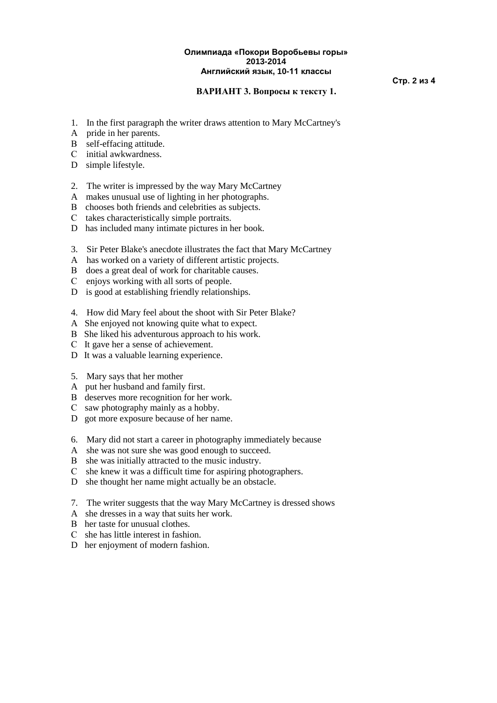## **ВАРИАНТ 3. Вопросы к тексту 1.**

- 1. In the first paragraph the writer draws attention to Mary McCartney's
- A pride in her parents.
- В self-effacing attitude.
- С initial awkwardness.
- D simple lifestyle.
- 2. The writer is impressed by the way Mary McCartney
- A makes unusual use of lighting in her photographs.
- В chooses both friends and celebrities as subjects.
- С takes characteristically simple portraits.
- D has included many intimate pictures in her book.
- 3. Sir Peter Blake's anecdote illustrates the fact that Mary McCartney
- A has worked on a variety of different artistic projects.
- В does a great deal of work for charitable causes.
- С enjoys working with all sorts of people.
- D is good at establishing friendly relationships.
- 4. How did Mary feel about the shoot with Sir Peter Blake?
- A She enjoyed not knowing quite what to expect.
- B She liked his adventurous approach to his work.
- С It gave her a sense of achievement.
- D It was a valuable learning experience.
- 5. Mary says that her mother
- A put her husband and family first.
- В deserves more recognition for her work.
- С saw photography mainly as a hobby.
- D got more exposure because of her name.
- 6. Mary did not start a career in photography immediately because
- A she was not sure she was good enough to succeed.
- B she was initially attracted to the music industry.
- С she knew it was a difficult time for aspiring photographers.
- D she thought her name might actually be an obstacle.
- 7. The writer suggests that the way Mary McCartney is dressed shows
- A she dresses in a way that suits her work.
- B her taste for unusual clothes.
- С she has little interest in fashion.
- D her enjoyment of modern fashion.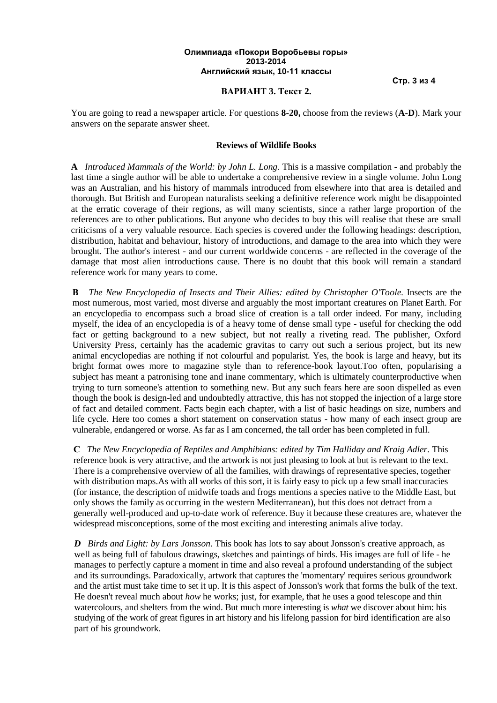**Стр. 3 из 4**

## **ВАРИАНТ 3. Текст 2.**

You are going to read a newspaper article. For questions **8-20,** choose from the reviews (**A-D**). Mark your answers on the separate answer sheet.

### **Reviews of Wildlife Books**

**A** *Introduced Mammals of the World: by John L. Long.* This is a massive compilation - and probably the last time a single author will be able to undertake a comprehensive review in a single volume. John Long was an Australian, and his history of mammals introduced from elsewhere into that area is detailed and thorough. But British and European naturalists seeking a definitive reference work might be disappointed at the erratic coverage of their regions, as will many scientists, since a rather large proportion of the references are to other publications. But anyone who decides to buy this will realise that these are small criticisms of a very valuable resource. Each species is covered under the following headings: description, distribution, habitat and behaviour, history of introductions, and damage to the area into which they were brought. The author's interest - and our current worldwide concerns - are reflected in the coverage of the damage that most alien introductions cause. There is no doubt that this book will remain a standard reference work for many years to come.

**В** *The New Encyclopedia of Insects and Their Allies: edited by Christopher O'Toole.* Insects are the most numerous, most varied, most diverse and arguably the most important creatures on Planet Earth. For an encyclopedia to encompass such a broad slice of creation is a tall order indeed. For many, including myself, the idea of an encyclopedia is of a heavy tome of dense small type - useful for checking the odd fact or getting background to a new subject, but not really a riveting read. The publisher, Oxford University Press, certainly has the academic gravitas to carry out such a serious project, but its new animal encyclopedias are nothing if not colourful and popularist. Yes, the book is large and heavy, but its bright format owes more to magazine style than to reference-book layout.Too often, popularising a subject has meant a patronising tone and inane commentary, which is ultimately counterproductive when trying to turn someone's attention to something new. But any such fears here are soon dispelled as even though the book is design-led and undoubtedly attractive, this has not stopped the injection of a large store of fact and detailed comment. Facts begin each chapter, with a list of basic headings on size, numbers and life cycle. Here too comes a short statement on conservation status - how many of each insect group are vulnerable, endangered or worse. As far as I am concerned, the tall order has been completed in full.

**С** *The New Encyclopedia of Reptiles and Amphibians: edited by Tim Halliday and Kraig Adler.* This reference book is very attractive, and the artwork is not just pleasing to look at but is relevant to the text. There is a comprehensive overview of all the families, with drawings of representative species, together with distribution maps.As with all works of this sort, it is fairly easy to pick up a few small inaccuracies (for instance, the description of midwife toads and frogs mentions a species native to the Middle East, but only shows the family as occurring in the western Mediterranean), but this does not detract from a generally well-produced and up-to-date work of reference. Buy it because these creatures are, whatever the widespread misconceptions, some of the most exciting and interesting animals alive today.

*D Birds and Light: by Lars Jonsson.* This book has lots to say about Jonsson's creative approach, as well as being full of fabulous drawings, sketches and paintings of birds. His images are full of life - he manages to perfectly capture a moment in time and also reveal a profound understanding of the subject and its surroundings. Paradoxically, artwork that captures the 'momentary' requires serious groundwork and the artist must take time to set it up. It is this aspect of Jonsson's work that forms the bulk of the text. He doesn't reveal much about *how* he works; just, for example, that he uses a good telescope and thin watercolours, and shelters from the wind. But much more interesting is *what* we discover about him: his studying of the work of great figures in art history and his lifelong passion for bird identification are also part of his groundwork.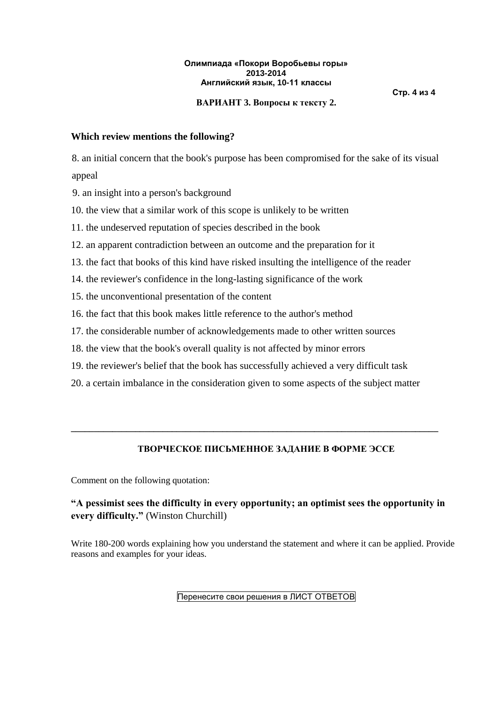**Стр. 4 из 4**

# **ВАРИАНТ 3. Вопросы к тексту 2.**

# **Which review mentions the following?**

8. an initial concern that the book's purpose has been compromised for the sake of its visual appeal

9. an insight into a person's background

10. the view that a similar work of this scope is unlikely to be written

11. the undeserved reputation of species described in the book

12. an apparent contradiction between an outcome and the preparation for it

13. the fact that books of this kind have risked insulting the intelligence of the reader

14. the reviewer's confidence in the long-lasting significance of the work

15. the unconventional presentation of the content

16. the fact that this book makes little reference to the author's method

17. the considerable number of acknowledgements made to other written sources

18. the view that the book's overall quality is not affected by minor errors

19. the reviewer's belief that the book has successfully achieved a very difficult task

20. a certain imbalance in the consideration given to some aspects of the subject matter

# **ТВОРЧЕСКОЕ ПИСЬМЕННОЕ ЗАДАНИЕ В ФОРМЕ ЭССЕ**

**\_\_\_\_\_\_\_\_\_\_\_\_\_\_\_\_\_\_\_\_\_\_\_\_\_\_\_\_\_\_\_\_\_\_\_\_\_\_\_\_\_\_\_\_\_\_\_\_\_\_\_\_\_\_\_\_\_\_\_\_\_\_\_\_\_\_\_\_\_\_\_\_\_\_\_\_\_\_\_\_**

Comment on the following quotation:

# **"A pessimist sees the difficulty in every opportunity; an optimist sees the opportunity in every difficulty."** [\(Winston Churchill\)](http://www.brainyquote.com/quotes/authors/w/winston_churchill.html)

Write 180-200 words explaining how you understand the statement and where it can be applied. Provide reasons and examples for your ideas.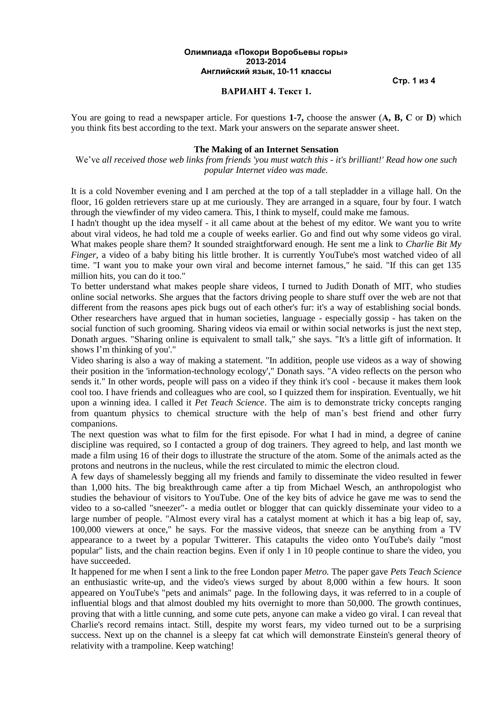**Стр. 1 из 4**

### **ВАРИАНТ 4. Текст 1.**

You are going to read a newspaper article. For questions **1-7,** choose the answer (**А, В, С** or **D**) which you think fits best according to the text. Mark your answers on the separate answer sheet.

## **The Making of an Internet Sensation**

We've *all received those web links from friends 'you must watch this - it's brilliant!' Read how one such popular Internet video was made.*

It is a cold November evening and I am perched at the top of a tall stepladder in a village hall. On the floor, 16 golden retrievers stare up at me curiously. They are arranged in a square, four by four. I watch through the viewfinder of my video camera. This, I think to myself, could make me famous.

I hadn't thought up the idea myself - it all came about at the behest of my editor. We want you to write about viral videos, he had told me a couple of weeks earlier. Go and find out why some videos go viral. What makes people share them? It sounded straightforward enough. He sent me a link to *Charlie Bit My Finger*, a video of a baby biting his little brother. It is currently YouTube's most watched video of all time. "I want you to make your own viral and become internet famous," he said. "If this can get 135 million hits, you can do it too."

To better understand what makes people share videos, I turned to Judith Donath of MIT, who studies online social networks. She argues that the factors driving people to share stuff over the web are not that different from the reasons apes pick bugs out of each other's fur: it's a way of establishing social bonds. Other researchers have argued that in human societies, language - especially gossip - has taken on the social function of such grooming. Sharing videos via email or within social networks is just the next step, Donath argues. "Sharing online is equivalent to small talk," she says. "It's a little gift of information. It shows I'm thinking of you'."

Video sharing is also a way of making a statement. "In addition, people use videos as a way of showing their position in the 'information-technology ecology'," Donath says. "A video reflects on the person who sends it." In other words, people will pass on a video if they think it's cool - because it makes them look cool too. I have friends and colleagues who are cool, so I quizzed them for inspiration. Eventually, we hit upon a winning idea. I called it *Pet Teach Science*. The aim is to demonstrate tricky concepts ranging from quantum physics to chemical structure with the help of man's best friend and other furry companions.

The next question was what to film for the first episode. For what I had in mind, a degree of canine discipline was required, so I contacted a group of dog trainers. They agreed to help, and last month we made a film using 16 of their dogs to illustrate the structure of the atom. Some of the animals acted as the protons and neutrons in the nucleus, while the rest circulated to mimic the electron cloud.

A few days of shamelessly begging all my friends and family to disseminate the video resulted in fewer than 1,000 hits. The big breakthrough came after a tip from Michael Wesch, an anthropologist who studies the behaviour of visitors to YouTube. One of the key bits of advice he gave me was to send the video to a so-called "sneezer"- a media outlet or blogger that can quickly disseminate your video to a large number of people. "Almost every viral has a catalyst moment at which it has a big leap of, say, 100,000 viewers at once," he says. For the massive videos, that sneeze can be anything from a TV appearance to a tweet by a popular Twitterer. This catapults the video onto YouTube's daily "most popular" lists, and the chain reaction begins. Even if only 1 in 10 people continue to share the video, you have succeeded.

It happened for me when I sent a link to the free London paper *Metro.* The paper gave *Pets Teach Science*  an enthusiastic write-up, and the video's views surged by about 8,000 within a few hours. It soon appeared on YouTube's "pets and animals" page. In the following days, it was referred to in a couple of influential blogs and that almost doubled my hits overnight to more than 50,000. The growth continues, proving that with a little cunning, and some cute pets, anyone can make a video go viral. I can reveal that Charlie's record remains intact. Still, despite my worst fears, my video turned out to be a surprising success. Next up on the channel is a sleepy fat cat which will demonstrate Einstein's general theory of relativity with a trampoline. Keep watching!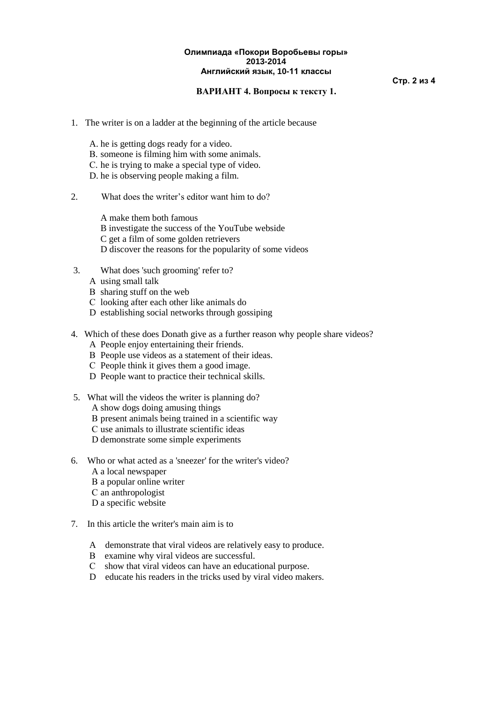### **Стр. 2 из 4**

## **ВАРИАНТ 4. Вопросы к тексту 1.**

- 1. The writer is on a ladder at the beginning of the article because
	- A. he is getting dogs ready for a video.
	- В. someone is filming him with some animals.
	- С. he is trying to make a special type of video.
	- D. he is observing people making a film.
- 2. What does the writer's editor want him to do?
	- A make them both famous B investigate the success of the YouTube webside C get a film of some golden retrievers D discover the reasons for the popularity of some videos
- 3. What does 'such grooming' refer to?
	- A using small talk
	- В sharing stuff on the web
	- С looking after each other like animals do
	- D establishing social networks through gossiping
- 4. Which of these does Donath give as a further reason why people share videos?
	- A People enjoy entertaining their friends.
	- В People use videos as a statement of their ideas.
	- С People think it gives them a good image.
	- D People want to practice their technical skills.
- 5. What will the videos the writer is planning do?
	- A show dogs doing amusing things
	- В present animals being trained in a scientific way
	- С use animals to illustrate scientific ideas
	- D demonstrate some simple experiments
- 6. Who or what acted as a 'sneezer' for the writer's video?
	- A a local newspaper
	- В a popular online writer
	- С an anthropologist
	- D a specific website
- 7. In this article the writer's main aim is to
	- A demonstrate that viral videos are relatively easy to produce.
	- В examine why viral videos are successful.
	- С show that viral videos can have an educational purpose.
	- D educate his readers in the tricks used by viral video makers.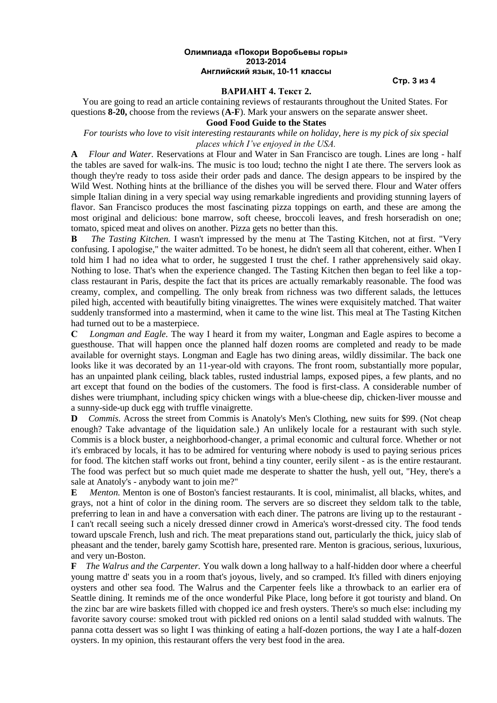#### **Стр. 3 из 4**

## **ВАРИАНТ 4. Текст 2.**

You are going to read an article containing reviews of restaurants throughout the United States. For questions **8-20,** choose from the reviews (**A-F**). Mark your answers on the separate answer sheet.

## **Good Food Guide to the States**

*For tourists who love to visit interesting restaurants while on holiday, here is my pick of six special places which I've enjoyed in the USA.*

**A** *Flour and Water.* Reservations at Flour and Water in San Francisco are tough. Lines are long - half the tables are saved for walk-ins. The music is too loud; techno the night I ate there. The servers look as though they're ready to toss aside their order pads and dance. The design appears to be inspired by the Wild West. Nothing hints at the brilliance of the dishes you will be served there. Flour and Water offers simple Italian dining in a very special way using remarkable ingredients and providing stunning layers of flavor. San Francisco produces the most fascinating pizza toppings on earth, and these are among the most original and delicious: bone marrow, soft cheese, broccoli leaves, and fresh horseradish on one; tomato, spiced meat and olives on another. Pizza gets no better than this.

**В** *The Tasting Kitchen.* I wasn't impressed by the menu at The Tasting Kitchen, not at first. "Very confusing. I apologise," the waiter admitted. To be honest, he didn't seem all that coherent, either. When I told him I had no idea what to order, he suggested I trust the chef. I rather apprehensively said okay. Nothing to lose. That's when the experience changed. The Tasting Kitchen then began to feel like a topclass restaurant in Paris, despite the fact that its prices are actually remarkably reasonable. The food was creamy, complex, and compelling. The only break from richness was two different salads, the lettuces piled high, accented with beautifully biting vinaigrettes. The wines were exquisitely matched. That waiter suddenly transformed into a mastermind, when it came to the wine list. This meal at The Tasting Kitchen had turned out to be a masterpiece.

**С** *Longman and Eagle.* The way I heard it from my waiter, Longman and Eagle aspires to become a guesthouse. That will happen once the planned half dozen rooms are completed and ready to be made available for overnight stays. Longman and Eagle has two dining areas, wildly dissimilar. The back one looks like it was decorated by an 11-year-old with crayons. The front room, substantially more popular, has an unpainted plank ceiling, black tables, rusted industrial lamps, exposed pipes, a few plants, and no art except that found on the bodies of the customers. The food is first-class. A considerable number of dishes were triumphant, including spicy chicken wings with a blue-cheese dip, chicken-liver mousse and a sunny-side-up duck egg with truffle vinaigrette.

**D** *Commis.* Across the street from Commis is Anatoly's Men's Clothing, new suits for \$99. (Not cheap enough? Take advantage of the liquidation sale.) An unlikely locale for a restaurant with such style. Commis is a block buster, a neighborhood-changer, a primal economic and cultural force. Whether or not it's embraced by locals, it has to be admired for venturing where nobody is used to paying serious prices for food. The kitchen staff works out front, behind a tiny counter, eerily silent - as is the entire restaurant. The food was perfect but so much quiet made me desperate to shatter the hush, yell out, "Hey, there's a sale at Anatoly's - anybody want to join me?"

**E** *Menton.* Menton is one of Boston's fanciest restaurants. It is cool, minimalist, all blacks, whites, and grays, not a hint of color in the dining room. The servers are so discreet they seldom talk to the table, preferring to lean in and have a conversation with each diner. The patrons are living up to the restaurant - I can't recall seeing such a nicely dressed dinner crowd in America's worst-dressed city. The food tends toward upscale French, lush and rich. The meat preparations stand out, particularly the thick, juicy slab of pheasant and the tender, barely gamy Scottish hare, presented rare. Menton is gracious, serious, luxurious, and very un-Boston.

**F** *The Walrus and the Carpenter.* You walk down a long hallway to a half-hidden door where a cheerful young mattre d' seats you in a room that's joyous, lively, and so cramped. It's filled with diners enjoying oysters and other sea food. The Walrus and the Carpenter feels like a throwback to an earlier era of Seattle dining. It reminds me of the once wonderful Pike Place, long before it got touristy and bland. On the zinc bar are wire baskets filled with chopped ice and fresh oysters. There's so much else: including my favorite savory course: smoked trout with pickled red onions on a lentil salad studded with walnuts. The panna cotta dessert was so light I was thinking of eating a half-dozen portions, the way I ate a half-dozen oysters. In my opinion, this restaurant offers the very best food in the area.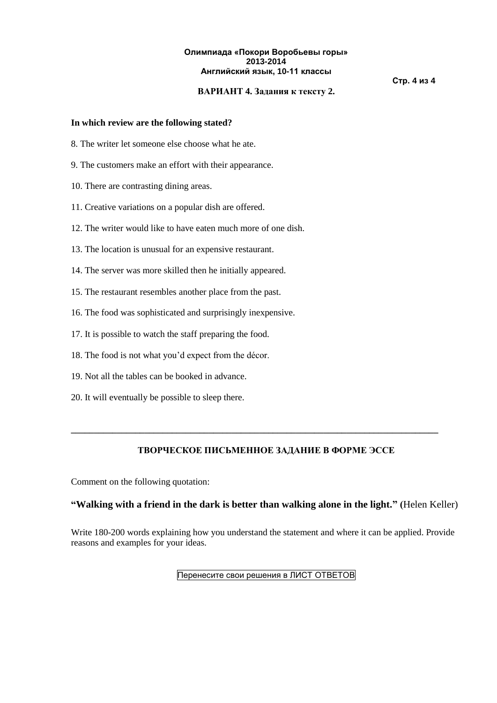# **ВАРИАНТ 4. Задания к тексту 2.**

**Стр. 4 из 4**

## **In which review are the following stated?**

- 8. The writer let someone else choose what he ate.
- 9. The customers make an effort with their appearance.
- 10. There are contrasting dining areas.
- 11. Creative variations on a popular dish are offered.
- 12. The writer would like to have eaten much more of one dish.
- 13. The location is unusual for an expensive restaurant.
- 14. The server was more skilled then he initially appeared.
- 15. The restaurant resembles another place from the past.
- 16. The food was sophisticated and surprisingly inexpensive.
- 17. It is possible to watch the staff preparing the food.
- 18. The food is not what you'd expect from the décor.
- 19. Not all the tables can be booked in advance.
- 20. It will eventually be possible to sleep there.

# **ТВОРЧЕСКОЕ ПИСЬМЕННОЕ ЗАДАНИЕ В ФОРМЕ ЭССЕ**

**\_\_\_\_\_\_\_\_\_\_\_\_\_\_\_\_\_\_\_\_\_\_\_\_\_\_\_\_\_\_\_\_\_\_\_\_\_\_\_\_\_\_\_\_\_\_\_\_\_\_\_\_\_\_\_\_\_\_\_\_\_\_\_\_\_\_\_\_\_\_\_\_\_\_\_\_\_\_\_\_**

Comment on the following quotation:

# **"Walking with a friend in the dark is better than walking alone in the light." (**[Helen Keller\)](http://www.brainyquote.com/quotes/authors/h/helen_keller.html)

Write 180-200 words explaining how you understand the statement and where it can be applied. Provide reasons and examples for your ideas.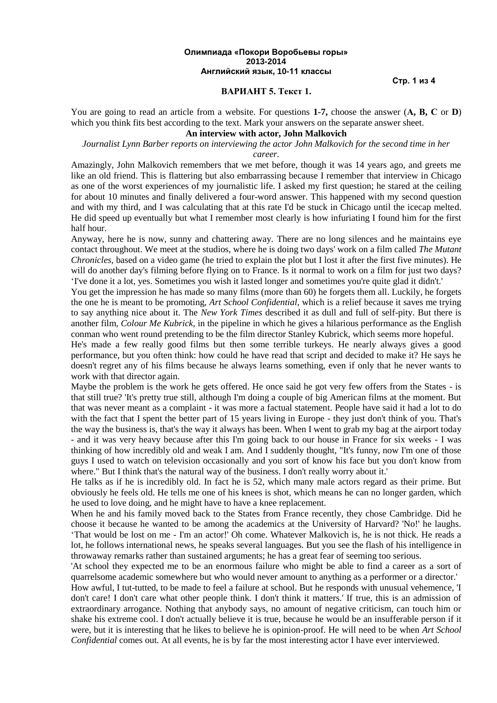**Стр. 1 из 4**

#### **ВАРИАНТ 5. Текст 1.**

You are going to read an article from a website. For questions **1-7,** choose the answer (**А, В, С** or **D**) which you think fits best according to the text. Mark your answers on the separate answer sheet.

# **An interview with actor, John Malkovich**

# *Journalist Lynn Barber reports on interviewing the actor John Malkovich for the second time in her*

*career.*

Amazingly, John Malkovich remembers that we met before, though it was 14 years ago, and greets me like an old friend. This is flattering but also embarrassing because I remember that interview in Chicago as one of the worst experiences of my journalistic life. I asked my first question; he stared at the ceiling for about 10 minutes and finally delivered a four-word answer. This happened with my second question and with my third, and I was calculating that at this rate I'd be stuck in Chicago until the icecap melted. He did speed up eventually but what I remember most clearly is how infuriating I found him for the first half hour.

Anyway, here he is now, sunny and chattering away. There are no long silences and he maintains eye contact throughout. We meet at the studios, where he is doing two days' work on a film called *The Mutant Chronicles,* based on a video game (he tried to explain the plot but I lost it after the first five minutes). He will do another day's filming before flying on to France. Is it normal to work on a film for just two days? 'I've done it a lot, yes. Sometimes you wish it lasted longer and sometimes you're quite glad it didn't.'

You get the impression he has made so many films (more than 60) he forgets them all. Luckily, he forgets the one he is meant to be promoting, *Art School Confidential,* which is a relief because it saves me trying to say anything nice about it. The *New York Times* described it as dull and full of self-pity. But there is another film, *Colour Me Kubrick,* in the pipeline in which he gives a hilarious performance as the English conman who went round pretending to be the film director Stanley Kubrick, which seems more hopeful.

He's made a few really good films but then some terrible turkeys. He nearly always gives a good performance, but you often think: how could he have read that script and decided to make it? He says he doesn't regret any of his films because he always learns something, even if only that he never wants to work with that director again.

Maybe the problem is the work he gets offered. He once said he got very few offers from the States - is that still true? 'It's pretty true still, although I'm doing a couple of big American films at the moment. But that was never meant as a complaint - it was more a factual statement. People have said it had a lot to do with the fact that I spent the better part of 15 years living in Europe - they just don't think of you. That's the way the business is, that's the way it always has been. When I went to grab my bag at the airport today - and it was very heavy because after this I'm going back to our house in France for six weeks - I was thinking of how incredibly old and weak I am. And I suddenly thought, "It's funny, now I'm one of those guys I used to watch on television occasionally and you sort of know his face but you don't know from where." But I think that's the natural way of the business. I don't really worry about it.'

He talks as if he is incredibly old. In fact he is 52, which many male actors regard as their prime. But obviously he feels old. He tells me one of his knees is shot, which means he can no longer garden, which he used to love doing, and he might have to have a knee replacement.

When he and his family moved back to the States from France recently, they chose Cambridge. Did he choose it because he wanted to be among the academics at the University of Harvard? 'No!' he laughs. 'That would be lost on me - I'm an actor!' Oh come. Whatever Malkovich is, he is not thick. He reads a lot, he follows international news, he speaks several languages. But you see the flash of his intelligence in throwaway remarks rather than sustained arguments; he has a great fear of seeming too serious.

'At school they expected me to be an enormous failure who might be able to find a career as a sort of quarrelsome academic somewhere but who would never amount to anything as a performer or a director.'

How awful, I tut-tutted, to be made to feel a failure at school. But he responds with unusual vehemence, 'I don't care! I don't care what other people think. I don't think it matters.' If true, this is an admission of extraordinary arrogance. Nothing that anybody says, no amount of negative criticism, can touch him or shake his extreme cool. I don't actually believe it is true, because he would be an insufferable person if it were, but it is interesting that he likes to believe he is opinion-proof. He will need to be when *Art School Confidential* comes out. At all events, he is by far the most interesting actor I have ever interviewed.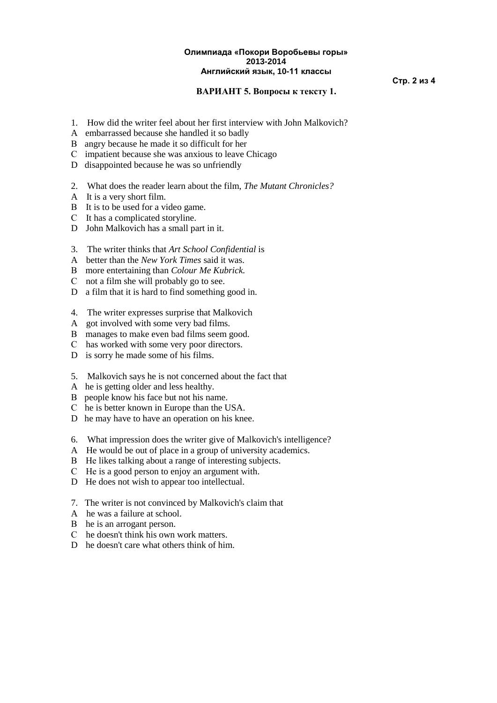**Стр. 2 из 4**

# **ВАРИАНТ 5. Вопросы к тексту 1.**

- 1. How did the writer feel about her first interview with John Malkovich?
- A embarrassed because she handled it so badly
- В angry because he made it so difficult for her
- С impatient because she was anxious to leave Chicago
- D disappointed because he was so unfriendly
- 2. What does the reader learn about the film, *The Mutant Chronicles?*
- A It is a very short film.
- B It is to be used for a video game.
- С It has a complicated storyline.
- D John Malkovich has a small part in it.
- 3. The writer thinks that *Art School Confidential* is
- A better than the *New York Times* said it was.
- В more entertaining than *Colour Me Kubrick.*
- С not a film she will probably go to see.
- D a film that it is hard to find something good in.
- 4. The writer expresses surprise that Malkovich
- A got involved with some very bad films.
- B manages to make even bad films seem good.
- С has worked with some very poor directors.
- D is sorry he made some of his films.
- 5. Malkovich says he is not concerned about the fact that
- A he is getting older and less healthy.
- В people know his face but not his name.
- С he is better known in Europe than the USA.
- D he may have to have an operation on his knee.
- 6. What impression does the writer give of Malkovich's intelligence?
- A He would be out of place in a group of university academics.
- В Не likes talking about a range of interesting subjects.
- С Не is a good person to enjoy an argument with.
- D He does not wish to appear too intellectual.
- 7. The writer is not convinced by Malkovich's claim that
- A he was a failure at school.
- В he is an arrogant person.
- С he doesn't think his own work matters.
- D he doesn't care what others think of him.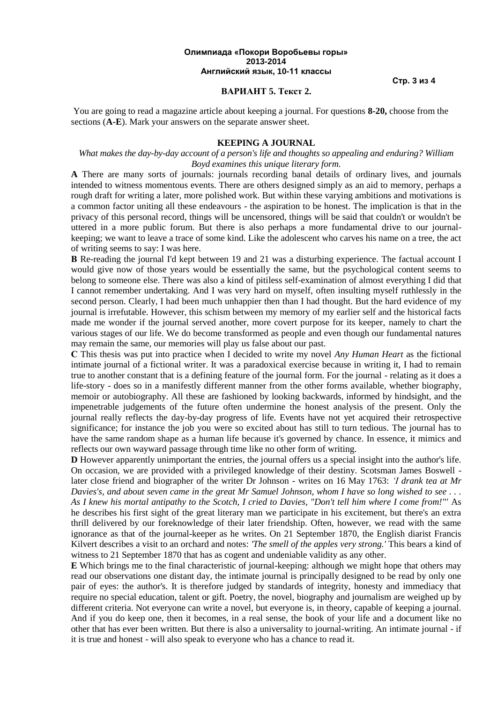**Стр. 3 из 4**

#### **ВАРИАНТ 5. Текст 2.**

You are going to read a magazine article about keeping a journal. For questions **8-20,** choose from the sections (**A-E**). Mark your answers on the separate answer sheet.

#### **KEEPING A JOURNAL**

# *What makes the day-by-day account of a person's life and thoughts so appealing and enduring? William Boyd examines this unique literary form.*

**A** There are many sorts of journals: journals recording banal details of ordinary lives, and journals intended to witness momentous events. There are others designed simply as an aid to memory, perhaps a rough draft for writing a later, more polished work. But within these varying ambitions and motivations is a common factor uniting all these endeavours - the aspiration to be honest. The implication is that in the privacy of this personal record, things will be uncensored, things will be said that couldn't or wouldn't be uttered in a more public forum. But there is also perhaps a more fundamental drive to our journalkeeping; we want to leave a trace of some kind. Like the adolescent who carves his name on a tree, the act of writing seems to say: I was here.

**В** Re-reading the journal I'd kept between 19 and 21 was a disturbing experience. The factual account I would give now of those years would be essentially the same, but the psychological content seems to belong to someone else. There was also a kind of pitiless self-examination of almost everything I did that I cannot remember undertaking. And I was very hard on myself, often insulting myself ruthlessly in the second person. Clearly, I had been much unhappier then than I had thought. But the hard evidence of my journal is irrefutable. However, this schism between my memory of my earlier self and the historical facts made me wonder if the journal served another, more covert purpose for its keeper, namely to chart the various stages of our life. We do become transformed as people and even though our fundamental natures may remain the same, our memories will play us false about our past.

**С** This thesis was put into practice when I decided to write my novel *Any Human Heart* as the fictional intimate journal of a fictional writer. It was a paradoxical exercise because in writing it, I had to remain true to another constant that is a defining feature of the journal form. For the journal - relating as it does a life-story - does so in a manifestly different manner from the other forms available, whether biography, memoir or autobiography. All these are fashioned by looking backwards, informed by hindsight, and the impenetrable judgements of the future often undermine the honest analysis of the present. Only the journal really reflects the day-by-day progress of life. Events have not yet acquired their retrospective significance; for instance the job you were so excited about has still to turn tedious. The journal has to have the same random shape as a human life because it's governed by chance. In essence, it mimics and reflects our own wayward passage through time like no other form of writing.

**D** However apparently unimportant the entries, the journal offers us a special insight into the author's life. On occasion, we are provided with a privileged knowledge of their destiny. Scotsman James Boswell later close friend and biographer of the writer Dr Johnson - writes on 16 May 1763: *'I drank tea at Mr Davies's, and about seven came in the great Mr Samuel Johnson, whom I have so long wished to see . . . As I knew his mortal antipathy to the Scotch, I cried to Davies, "Don't tell him where I come from!"'* As he describes his first sight of the great literary man we participate in his excitement, but there's an extra thrill delivered by our foreknowledge of their later friendship. Often, however, we read with the same ignorance as that of the journal-keeper as he writes. On 21 September 1870, the English diarist Francis Kilvert describes a visit to an orchard and notes: *'The smell of the apples very strong.'* This bears a kind of witness to 21 September 1870 that has as cogent and undeniable validity as any other.

**E** Which brings me to the final characteristic of journal-keeping: although we might hope that others may read our observations one distant day, the intimate journal is principally designed to be read by only one pair of eyes: the author's. It is therefore judged by standards of integrity, honesty and immediacy that require no special education, talent or gift. Poetry, the novel, biography and journalism are weighed up by different criteria. Not everyone can write a novel, but everyone is, in theory, capable of keeping a journal. And if you do keep one, then it becomes, in a real sense, the book of your life and a document like no other that has ever been written. But there is also a universality to journal-writing. An intimate journal - if it is true and honest - will also speak to everyone who has a chance to read it.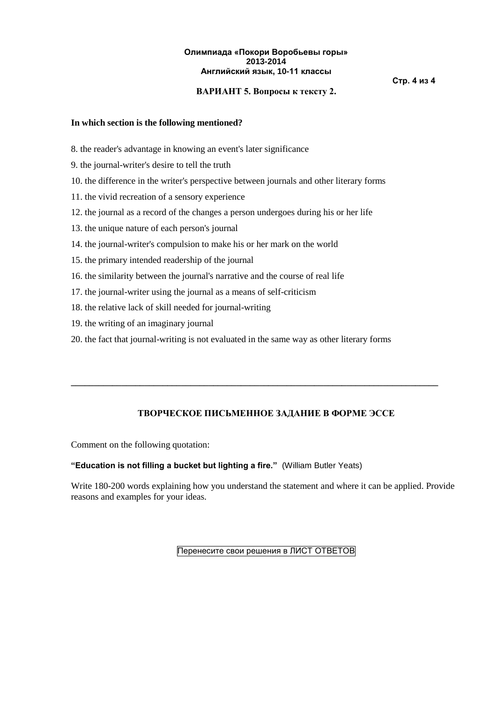# **ВАРИАНТ 5. Вопросы к тексту 2.**

**Стр. 4 из 4**

# **In which section is the following mentioned?**

- 8. the reader's advantage in knowing an event's later significance
- 9. the journal-writer's desire to tell the truth
- 10. the difference in the writer's perspective between journals and other literary forms
- 11. the vivid recreation of a sensory experience
- 12. the journal as a record of the changes a person undergoes during his or her life
- 13. the unique nature of each person's journal
- 14. the journal-writer's compulsion to make his or her mark on the world
- 15. the primary intended readership of the journal
- 16. the similarity between the journal's narrative and the course of real life
- 17. the journal-writer using the journal as a means of self-criticism
- 18. the relative lack of skill needed for journal-writing
- 19. the writing of an imaginary journal
- 20. the fact that journal-writing is not evaluated in the same way as other literary forms

# **ТВОРЧЕСКОЕ ПИСЬМЕННОЕ ЗАДАНИЕ В ФОРМЕ ЭССЕ**

**\_\_\_\_\_\_\_\_\_\_\_\_\_\_\_\_\_\_\_\_\_\_\_\_\_\_\_\_\_\_\_\_\_\_\_\_\_\_\_\_\_\_\_\_\_\_\_\_\_\_\_\_\_\_\_\_\_\_\_\_\_\_\_\_\_\_\_\_\_\_\_\_\_\_\_\_\_\_\_\_**

Comment on the following quotation:

**"Education is not filling a bucket but lighting a fire."** (William Butler Yeats)

Write 180-200 words explaining how you understand the statement and where it can be applied. Provide reasons and examples for your ideas.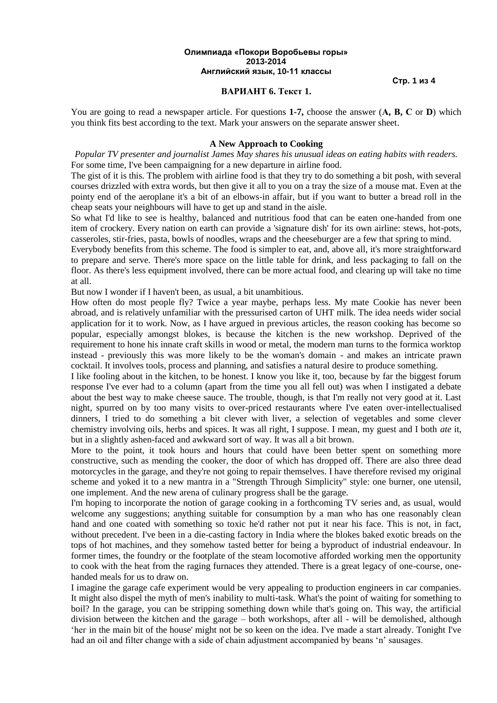**Стр. 1 из 4**

### **ВАРИАНТ 6. Текст 1.**

You are going to read a newspaper article. For questions **1-7,** choose the answer (**А, В, С** or **D**) which you think fits best according to the text. Mark your answers on the separate answer sheet.

#### **A New Approach to Cooking**

*Popular TV presenter and journalist James May shares his unusual ideas on eating habits with readers.* For some time, I've been campaigning for a new departure in airline food.

The gist of it is this. The problem with airline food is that they try to do something a bit posh, with several courses drizzled with extra words, but then give it all to you on a tray the size of a mouse mat. Even at the pointy end of the aeroplane it's a bit of an elbows-in affair, but if you want to butter a bread roll in the cheap seats your neighbours will have to get up and stand in the aisle.

So what I'd like to see is healthy, balanced and nutritious food that can be eaten one-handed from one item of crockery. Every nation on earth can provide a 'signature dish' for its own airline: stews, hot-pots, casseroles, stir-fries, pasta, bowls of noodles, wraps and the cheeseburger are a few that spring to mind.

Everybody benefits from this scheme. The food is simpler to eat, and, above all, it's more straightforward to prepare and serve. There's more space on the little table for drink, and less packaging to fall on the floor. As there's less equipment involved, there can be more actual food, and clearing up will take no time at all.

But now I wonder if I haven't been, as usual, a bit unambitious.

How often do most people fly? Twice a year maybe, perhaps less. My mate Cookie has never been abroad, and is relatively unfamiliar with the pressurised carton of UHT milk. The idea needs wider social application for it to work. Now, as I have argued in previous articles, the reason cooking has become so popular, especially amongst blokes, is because the kitchen is the new workshop. Deprived of the requirement to hone his innate craft skills in wood or metal, the modern man turns to the formica worktop instead - previously this was more likely to be the woman's domain - and makes an intricate prawn cocktail. It involves tools, process and planning, and satisfies a natural desire to produce something.

I like fooling about in the kitchen, to be honest. I know you like it, too, because by far the biggest forum response I've ever had to a column (apart from the time you all fell out) was when I instigated a debate about the best way to make cheese sauce. The trouble, though, is that I'm really not very good at it. Last night, spurred on by too many visits to over-priced restaurants where I've eaten over-intellectualised dinners, I tried to do something a bit clever with liver, a selection of vegetables and some clever chemistry involving oils, herbs and spices. It was all right, I suppose. I mean, my guest and I both *ate* it, but in a slightly ashen-faced and awkward sort of way. It was all a bit brown.

More to the point, it took hours and hours that could have been better spent on something more constructive, such as mending the cooker, the door of which has dropped off. There are also three dead motorcycles in the garage, and they're not going to repair themselves. I have therefore revised my original scheme and yoked it to a new mantra in a "Strength Through Simplicity" style: one burner, one utensil, one implement. And the new arena of culinary progress shall be the garage.

I'm hoping to incorporate the notion of garage cooking in a forthcoming TV series and, as usual, would welcome any suggestions; anything suitable for consumption by a man who has one reasonably clean hand and one coated with something so toxic he'd rather not put it near his face. This is not, in fact, without precedent. I've been in a die-casting factory in India where the blokes baked exotic breads on the tops of hot machines, and they somehow tasted better for being a byproduct of industrial endeavour. In former times, the foundry or the footplate of the steam locomotive afforded working men the opportunity to cook with the heat from the raging furnaces they attended. There is a great legacy of one-course, onehanded meals for us to draw on.

I imagine the garage cafe experiment would be very appealing to production engineers in car companies. It might also dispel the myth of men's inability to multi-task. What's the point of waiting for something to boil? In the garage, you can be stripping something down while that's going on. This way, the artificial division between the kitchen and the garage – both workshops, after all - will be demolished, although 'hег in the main bit of the house' might not be so keen on the idea. I've made a start already. Tonight I've had an oil and filter change with a side of chain adjustment accompanied by beans 'n' sausages.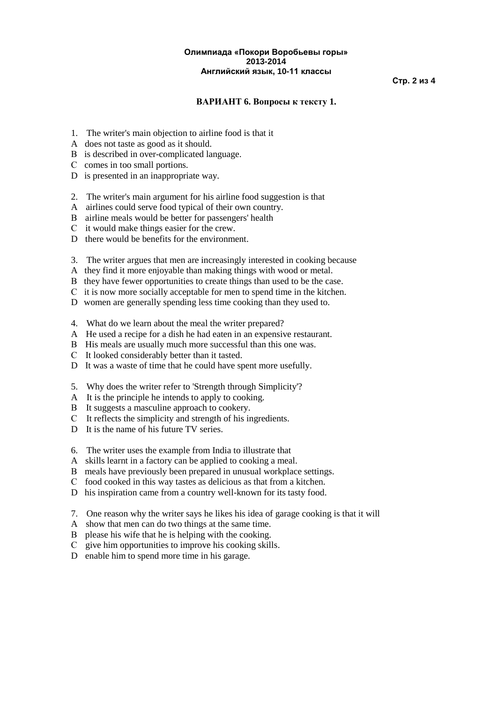**Стр. 2 из 4**

# **ВАРИАНТ 6. Вопросы к тексту 1.**

- 1. The writer's main objection to airline food is that it
- A does not taste as good as it should.
- В is described in over-complicated language.
- С comes in too small portions.
- D is presented in an inappropriate way.
- 2. The writer's main argument for his airline food suggestion is that
- A airlines could serve food typical of their own country.
- В airline meals would be better for passengers' health
- С it would make things easier for the crew.
- D there would be benefits for the environment.
- 3. The writer argues that men are increasingly interested in cooking because
- A they find it more enjoyable than making things with wood or metal.
- В they have fewer opportunities to create things than used to be the case.
- С it is now more socially acceptable for men to spend time in the kitchen.
- D women are generally spending less time cooking than they used to.
- 4. What do we learn about the meal the writer prepared?
- A He used a recipe for a dish he had eaten in an expensive restaurant.
- B His meals are usually much more successful than this one was.
- С It looked considerably better than it tasted.
- D It was a waste of time that he could have spent more usefully.
- 5. Why does the writer refer to 'Strength through Simplicity'?
- A It is the principle he intends to apply to cooking.
- В It suggests a masculine approach to cookery.
- С It reflects the simplicity and strength of his ingredients.
- D It is the name of his future TV series.
- 6. The writer uses the example from India to illustrate that
- A skills learnt in a factory can be applied to cooking a meal.
- В meals have previously been prepared in unusual workplace settings.
- С food cooked in this way tastes as delicious as that from a kitchen.
- D his inspiration came from a country well-known for its tasty food.
- 7. One reason why the writer says he likes his idea of garage cooking is that it will
- A show that men can do two things at the same time.
- B please his wife that he is helping with the cooking.
- С give him opportunities to improve his cooking skills.
- D enable him to spend more time in his garage.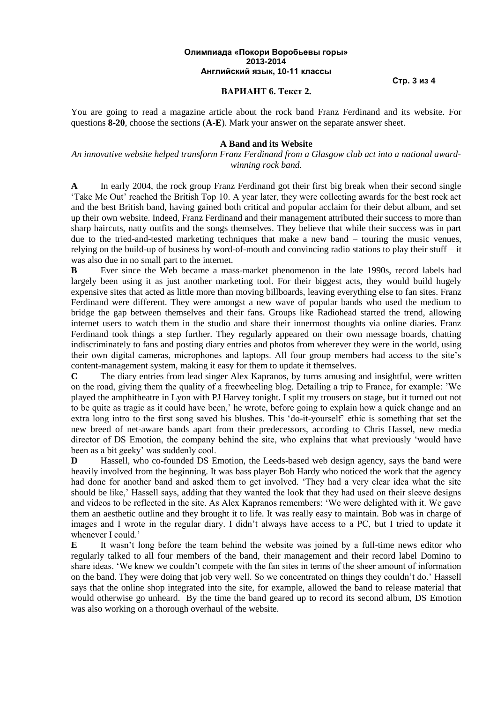**Стр. 3 из 4**

### **ВАРИАНТ 6. Текст 2.**

You are going to read a magazine article about the rock band Franz Ferdinand and its website. For questions **8-20**, choose the sections (**A-E**). Mark your answer on the separate answer sheet.

# **A Band and its Website**

# *An innovative website helped transform Franz Ferdinand from a Glasgow club act into a national awardwinning rock band.*

**A** In early 2004, the rock group Franz Ferdinand got their first big break when their second single 'Take Me Out' reached the British Top 10. A year later, they were collecting awards for the best rock act and the best British band, having gained both critical and popular acclaim for their debut album, and set up their own website. Indeed, Franz Ferdinand and their management attributed their success to more than sharp haircuts, natty outfits and the songs themselves. They believe that while their success was in part due to the tried-and-tested marketing techniques that make a new band – touring the music venues, relying on the build-up of business by word-of-mouth and convincing radio stations to play their stuff – it was also due in no small part to the internet.

**B** Ever since the Web became a mass-market phenomenon in the late 1990s, record labels had largely been using it as just another marketing tool. For their biggest acts, they would build hugely expensive sites that acted as little more than moving billboards, leaving everything else to fan sites. Franz Ferdinand were different. They were amongst a new wave of popular bands who used the medium to bridge the gap between themselves and their fans. Groups like Radiohead started the trend, allowing internet users to watch them in the studio and share their innermost thoughts via online diaries. Franz Ferdinand took things a step further. They regularly appeared on their own message boards, chatting indiscriminately to fans and posting diary entries and photos from wherever they were in the world, using their own digital cameras, microphones and laptops. All four group members had access to the site's content-management system, making it easy for them to update it themselves.

**C** The diary entries from lead singer Alex Kapranos, by turns amusing and insightful, were written on the road, giving them the quality of a freewheeling blog. Detailing a trip to France, for example: 'We played the amphitheatre in Lyon with PJ Harvey tonight. I split my trousers on stage, but it turned out not to be quite as tragic as it could have been,' he wrote, before going to explain how a quick change and an extra long intro to the first song saved his blushes. This 'do-it-yourself' ethic is something that set the new breed of net-aware bands apart from their predecessors, according to Chris Hassel, new media director of DS Emotion, the company behind the site, who explains that what previously 'would have been as a bit geeky' was suddenly cool.

**D** Hassell, who co-founded DS Emotion, the Leeds-based web design agency, says the band were heavily involved from the beginning. It was bass player Bob Hardy who noticed the work that the agency had done for another band and asked them to get involved. 'They had a very clear idea what the site should be like,' Hassell says, adding that they wanted the look that they had used on their sleeve designs and videos to be reflected in the site. As Alex Kapranos remembers: 'We were delighted with it. We gave them an aesthetic outline and they brought it to life. It was really easy to maintain. Bob was in charge of images and I wrote in the regular diary. I didn't always have access to a PC, but I tried to update it whenever I could.'

**E** It wasn't long before the team behind the website was joined by a full-time news editor who regularly talked to all four members of the band, their management and their record label Domino to share ideas. 'We knew we couldn't compete with the fan sites in terms of the sheer amount of information on the band. They were doing that job very well. So we concentrated on things they couldn't do.' Hassell says that the online shop integrated into the site, for example, allowed the band to release material that would otherwise go unheard. By the time the band geared up to record its second album, DS Emotion was also working on a thorough overhaul of the website.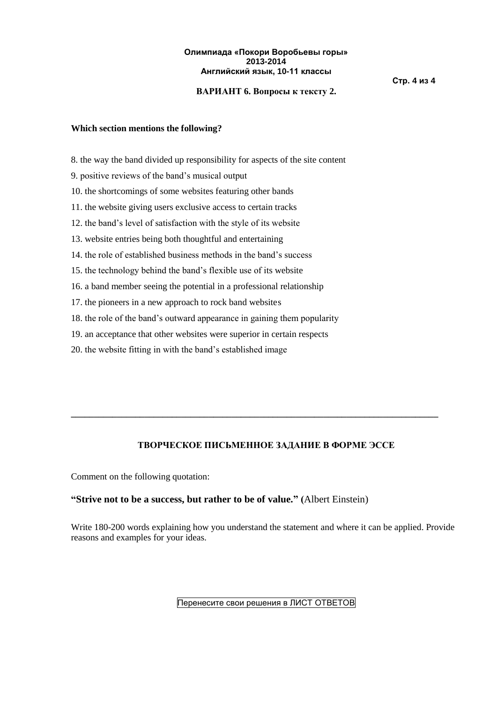## **Стр. 4 из 4**

# **ВАРИАНТ 6. Вопросы к тексту 2.**

## **Which section mentions the following?**

- 8. the way the band divided up responsibility for aspects of the site content
- 9. positive reviews of the band's musical output
- 10. the shortcomings of some websites featuring other bands
- 11. the website giving users exclusive access to certain tracks
- 12. the band's level of satisfaction with the style of its website
- 13. website entries being both thoughtful and entertaining
- 14. the role of established business methods in the band's success
- 15. the technology behind the band's flexible use of its website
- 16. a band member seeing the potential in a professional relationship
- 17. the pioneers in a new approach to rock band websites
- 18. the role of the band's outward appearance in gaining them popularity
- 19. an acceptance that other websites were superior in certain respects
- 20. the website fitting in with the band's established image

# **ТВОРЧЕСКОЕ ПИСЬМЕННОЕ ЗАДАНИЕ В ФОРМЕ ЭССЕ**

**\_\_\_\_\_\_\_\_\_\_\_\_\_\_\_\_\_\_\_\_\_\_\_\_\_\_\_\_\_\_\_\_\_\_\_\_\_\_\_\_\_\_\_\_\_\_\_\_\_\_\_\_\_\_\_\_\_\_\_\_\_\_\_\_\_\_\_\_\_\_\_\_\_\_\_\_\_\_\_\_**

Comment on the following quotation:

# **"Strive not to be a success, but rather to be of value." (**[Albert Einstein\)](http://www.brainyquote.com/quotes/authors/a/albert_einstein.html)

Write 180-200 words explaining how you understand the statement and where it can be applied. Provide reasons and examples for your ideas.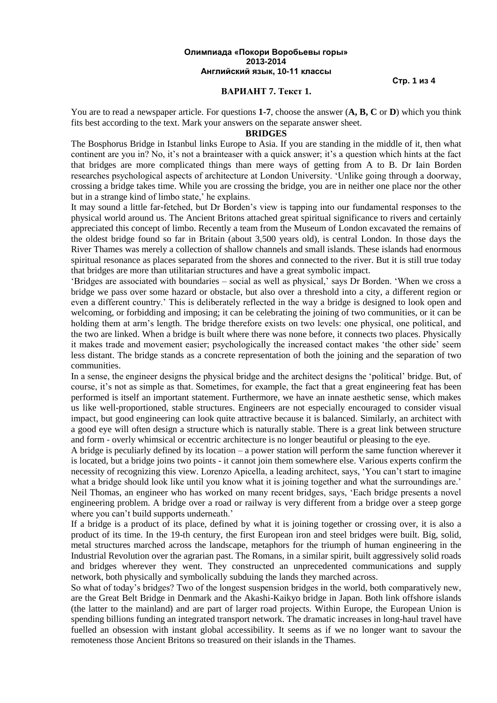#### **Стр. 1 из 4**

#### **ВАРИАНТ 7. Текст 1.**

You are to read a newspaper article. For questions **1-7**, choose the answer (**A, B, C** or **D**) which you think fits best according to the text. Mark your answers on the separate answer sheet.

#### **BRIDGES**

The Bosphorus Bridge in Istanbul links Europe to Asia. If you are standing in the middle of it, then what continent are you in? No, it's not a brainteaser with a quick answer; it's a question which hints at the fact that bridges are more complicated things than mere ways of getting from A to B. Dr Iain Borden researches psychological aspects of architecture at London University. 'Unlike going through a doorway, crossing a bridge takes time. While you are crossing the bridge, you are in neither one place nor the other but in a strange kind of limbo state,' he explains.

It may sound a little far-fetched, but Dr Borden's view is tapping into our fundamental responses to the physical world around us. The Ancient Britons attached great spiritual significance to rivers and certainly appreciated this concept of limbo. Recently a team from the Museum of London excavated the remains of the oldest bridge found so far in Britain (about 3,500 years old), is central London. In those days the River Thames was merely a collection of shallow channels and small islands. These islands had enormous spiritual resonance as places separated from the shores and connected to the river. But it is still true today that bridges are more than utilitarian structures and have a great symbolic impact.

'Bridges are associated with boundaries – social as well as physical,' says Dr Borden. 'When we cross a bridge we pass over some hazard or obstacle, but also over a threshold into a city, a different region or even a different country.' This is deliberately reflected in the way a bridge is designed to look open and welcoming, or forbidding and imposing; it can be celebrating the joining of two communities, or it can be holding them at arm's length. The bridge therefore exists on two levels: one physical, one political, and the two are linked. When a bridge is built where there was none before, it connects two places. Physically it makes trade and movement easier; psychologically the increased contact makes 'the other side' seem less distant. The bridge stands as a concrete representation of both the joining and the separation of two communities.

In a sense, the engineer designs the physical bridge and the architect designs the 'political' bridge. But, of course, it's not as simple as that. Sometimes, for example, the fact that a great engineering feat has been performed is itself an important statement. Furthermore, we have an innate aesthetic sense, which makes us like well-proportioned, stable structures. Engineers are not especially encouraged to consider visual impact, but good engineering can look quite attractive because it is balanced. Similarly, an architect with a good eye will often design a structure which is naturally stable. There is a great link between structure and form - overly whimsical or eccentric architecture is no longer beautiful or pleasing to the eye.

A bridge is peculiarly defined by its location – a power station will perform the same function wherever it is located, but a bridge joins two points - it cannot join them somewhere else. Various experts confirm the necessity of recognizing this view. Lorenzo Apicella, a leading architect, says, 'You can't start to imagine what a bridge should look like until you know what it is joining together and what the surroundings are.' Neil Thomas, an engineer who has worked on many recent bridges, says, 'Each bridge presents a novel engineering problem. A bridge over a road or railway is very different from a bridge over a steep gorge where you can't build supports underneath.'

If a bridge is a product of its place, defined by what it is joining together or crossing over, it is also a product of its time. In the 19-th century, the first European iron and steel bridges were built. Big, solid, metal structures marched across the landscape, metaphors for the triumph of human engineering in the Industrial Revolution over the agrarian past. The Romans, in a similar spirit, built aggressively solid roads and bridges wherever they went. They constructed an unprecedented communications and supply network, both physically and symbolically subduing the lands they marched across.

So what of today's bridges? Two of the longest suspension bridges in the world, both comparatively new, are the Great Belt Bridge in Denmark and the Akashi-Kaikyo bridge in Japan. Both link offshore islands (the latter to the mainland) and are part of larger road projects. Within Europe, the European Union is spending billions funding an integrated transport network. The dramatic increases in long-haul travel have fuelled an obsession with instant global accessibility. It seems as if we no longer want to savour the remoteness those Ancient Britons so treasured on their islands in the Thames.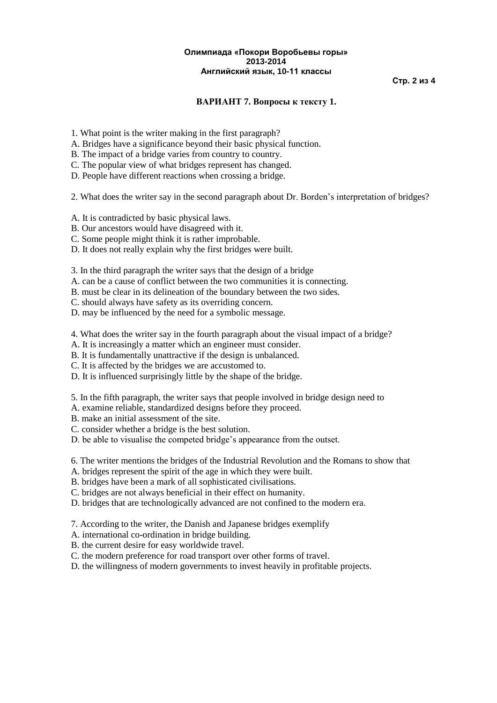## **Стр. 2 из 4**

# **ВАРИАНТ 7. Вопросы к тексту 1.**

- 1. What point is the writer making in the first paragraph?
- A. Bridges have a significance beyond their basic physical function.
- B. The impact of a bridge varies from country to country.
- C. The popular view of what bridges represent has changed.
- D. People have different reactions when crossing a bridge.

2. What does the writer say in the second paragraph about Dr. Borden's interpretation of bridges?

- A. It is contradicted by basic physical laws.
- B. Our ancestors would have disagreed with it.
- C. Some people might think it is rather improbable.
- D. It does not really explain why the first bridges were built.

3. In the third paragraph the writer says that the design of a bridge

- A. can be a cause of conflict between the two communities it is connecting.
- B. must be clear in its delineation of the boundary between the two sides.
- C. should always have safety as its overriding concern.
- D. may be influenced by the need for a symbolic message.

4. What does the writer say in the fourth paragraph about the visual impact of a bridge?

- A. It is increasingly a matter which an engineer must consider.
- B. It is fundamentally unattractive if the design is unbalanced.
- C. It is affected by the bridges we are accustomed to.
- D. It is influenced surprisingly little by the shape of the bridge.
- 5. In the fifth paragraph, the writer says that people involved in bridge design need to
- A. examine reliable, standardized designs before they proceed.
- B. make an initial assessment of the site.
- C. consider whether a bridge is the best solution.
- D. be able to visualise the competed bridge's appearance from the outset.

6. The writer mentions the bridges of the Industrial Revolution and the Romans to show that

- A. bridges represent the spirit of the age in which they were built.
- B. bridges have been a mark of all sophisticated civilisations.
- C. bridges are not always beneficial in their effect on humanity.
- D. bridges that are technologically advanced are not confined to the modern era.
- 7. According to the writer, the Danish and Japanese bridges exemplify
- A. international co-ordination in bridge building.
- B. the current desire for easy worldwide travel.
- C. the modern preference for road transport over other forms of travel.
- D. the willingness of modern governments to invest heavily in profitable projects.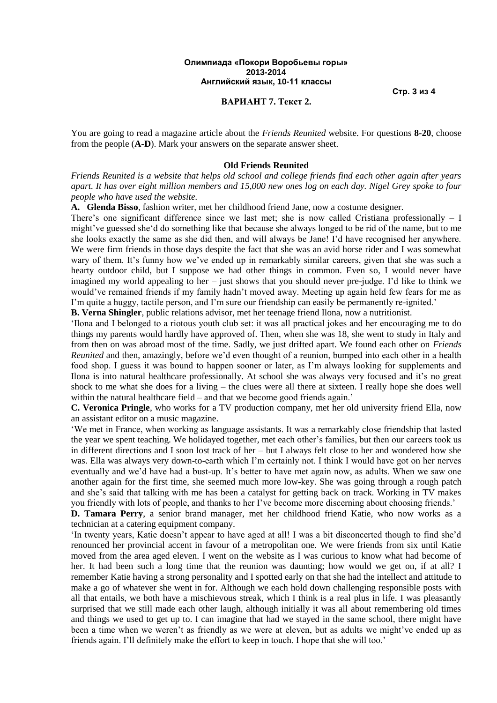**Стр. 3 из 4**

#### **ВАРИАНТ 7. Текст 2.**

You are going to read a magazine article about the *Friends Reunited* website. For questions **8-20**, choose from the people (**A-D**). Mark your answers on the separate answer sheet.

#### **Old Friends Reunited**

*Friends Reunited is a website that helps old school and college friends find each other again after years apart. It has over eight million members and 15,000 new ones log on each day. Nigel Grey spoke to four people who have used the website.*

**A. Glenda Bisso**, fashion writer, met her childhood friend Jane, now a costume designer.

There's one significant difference since we last met; she is now called Cristiana professionally – I might've guessed she'd do something like that because she always longed to be rid of the name, but to me she looks exactly the same as she did then, and will always be Jane! I'd have recognised her anywhere. We were firm friends in those days despite the fact that she was an avid horse rider and I was somewhat wary of them. It's funny how we've ended up in remarkably similar careers, given that she was such a hearty outdoor child, but I suppose we had other things in common. Even so, I would never have imagined my world appealing to her – just shows that you should never pre-judge. I'd like to think we would've remained friends if my family hadn't moved away. Meeting up again held few fears for me as I'm quite a huggy, tactile person, and I'm sure our friendship can easily be permanently re-ignited.'

**B. Verna Shingler**, public relations advisor, met her teenage friend Ilona, now a nutritionist.

'Ilona and I belonged to a riotous youth club set: it was all practical jokes and her encouraging me to do things my parents would hardly have approved of. Then, when she was 18, she went to study in Italy and from then on was abroad most of the time. Sadly, we just drifted apart. We found each other on *Friends Reunited* and then, amazingly, before we'd even thought of a reunion, bumped into each other in a health food shop. I guess it was bound to happen sooner or later, as I'm always looking for supplements and Ilona is into natural healthcare professionally. At school she was always very focused and it's no great shock to me what she does for a living – the clues were all there at sixteen. I really hope she does well within the natural healthcare field – and that we become good friends again.'

**C. Veronica Pringle**, who works for a TV production company, met her old university friend Ella, now an assistant editor on a music magazine.

'We met in France, when working as language assistants. It was a remarkably close friendship that lasted the year we spent teaching. We holidayed together, met each other's families, but then our careers took us in different directions and I soon lost track of her – but I always felt close to her and wondered how she was. Ella was always very down-to-earth which I'm certainly not. I think I would have got on her nerves eventually and we'd have had a bust-up. It's better to have met again now, as adults. When we saw one another again for the first time, she seemed much more low-key. She was going through a rough patch and she's said that talking with me has been a catalyst for getting back on track. Working in TV makes you friendly with lots of people, and thanks to her I've become more discerning about choosing friends.'

**D. Tamara Perry**, a senior brand manager, met her childhood friend Katie, who now works as a technician at a catering equipment company.

'In twenty years, Katie doesn't appear to have aged at all! I was a bit disconcerted though to find she'd renounced her provincial accent in favour of a metropolitan one. We were friends from six until Katie moved from the area aged eleven. I went on the website as I was curious to know what had become of her. It had been such a long time that the reunion was daunting; how would we get on, if at all? I remember Katie having a strong personality and I spotted early on that she had the intellect and attitude to make a go of whatever she went in for. Although we each hold down challenging responsible posts with all that entails, we both have a mischievous streak, which I think is a real plus in life. I was pleasantly surprised that we still made each other laugh, although initially it was all about remembering old times and things we used to get up to. I can imagine that had we stayed in the same school, there might have been a time when we weren't as friendly as we were at eleven, but as adults we might've ended up as friends again. I'll definitely make the effort to keep in touch. I hope that she will too.'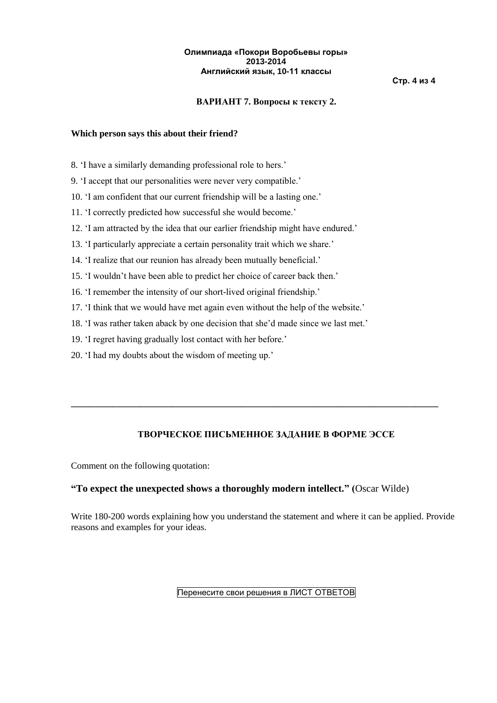## **Стр. 4 из 4**

# **ВАРИАНТ 7. Вопросы к тексту 2.**

## **Which person says this about their friend?**

- 8. 'I have a similarly demanding professional role to hers.'
- 9. 'I accept that our personalities were never very compatible.'
- 10. 'I am confident that our current friendship will be a lasting one.'
- 11. 'I correctly predicted how successful she would become.'
- 12. 'I am attracted by the idea that our earlier friendship might have endured.'
- 13. 'I particularly appreciate a certain personality trait which we share.'
- 14. 'I realize that our reunion has already been mutually beneficial.'
- 15. 'I wouldn't have been able to predict her choice of career back then.'
- 16. 'I remember the intensity of our short-lived original friendship.'
- 17. 'I think that we would have met again even without the help of the website.'
- 18. 'I was rather taken aback by one decision that she'd made since we last met.'
- 19. 'I regret having gradually lost contact with her before.'
- 20. 'I had my doubts about the wisdom of meeting up.'

# **ТВОРЧЕСКОЕ ПИСЬМЕННОЕ ЗАДАНИЕ В ФОРМЕ ЭССЕ**

**\_\_\_\_\_\_\_\_\_\_\_\_\_\_\_\_\_\_\_\_\_\_\_\_\_\_\_\_\_\_\_\_\_\_\_\_\_\_\_\_\_\_\_\_\_\_\_\_\_\_\_\_\_\_\_\_\_\_\_\_\_\_\_\_\_\_\_\_\_\_\_\_\_\_\_\_\_\_\_\_**

Comment on the following quotation:

# **"To expect the unexpected shows a thoroughly modern intellect." (**[Oscar Wilde\)](http://www.brainyquote.com/quotes/authors/o/oscar_wilde.html)

Write 180-200 words explaining how you understand the statement and where it can be applied. Provide reasons and examples for your ideas.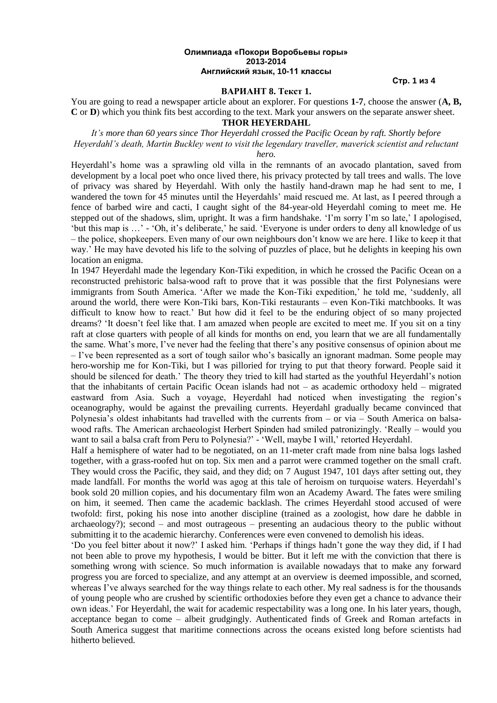#### **Стр. 1 из 4**

#### **ВАРИАНТ 8. Текст 1.**

You are going to read a newspaper article about an explorer. For questions **1-7**, choose the answer (**A, B, C** or **D**) which you think fits best according to the text. Mark your answers on the separate answer sheet.

## **THOR HEYERDAHL**

*It's more than 60 years since Thor Heyerdahl crossed the Pacific Ocean by raft. Shortly before Heyerdahl's death, Martin Buckley went to visit the legendary traveller, maverick scientist and reluctant hero.*

Heyerdahl's home was a sprawling old villa in the remnants of an avocado plantation, saved from development by a local poet who once lived there, his privacy protected by tall trees and walls. The love of privacy was shared by Heyerdahl. With only the hastily hand-drawn map he had sent to me, I wandered the town for 45 minutes until the Heyerdahls' maid rescued me. At last, as I peered through a fence of barbed wire and cacti, I caught sight of the 84-year-old Heyerdahl coming to meet me. He stepped out of the shadows, slim, upright. It was a firm handshake. 'I'm sorry I'm so late,' I apologised, 'but this map is …' - 'Oh, it's deliberate,' he said. 'Everyone is under orders to deny all knowledge of us – the police, shopkeepers. Even many of our own neighbours don't know we are here. I like to keep it that way.' He may have devoted his life to the solving of puzzles of place, but he delights in keeping his own location an enigma.

In 1947 Heyerdahl made the legendary Kon-Tiki expedition, in which he crossed the Pacific Ocean on a reconstructed prehistoric balsa-wood raft to prove that it was possible that the first Polynesians were immigrants from South America. 'After we made the Kon-Tiki expedition,' he told me, 'suddenly, all around the world, there were Kon-Tiki bars, Kon-Tiki restaurants – even Kon-Tiki matchbooks. It was difficult to know how to react.' But how did it feel to be the enduring object of so many projected dreams? 'It doesn't feel like that. I am amazed when people are excited to meet me. If you sit on a tiny raft at close quarters with people of all kinds for months on end, you learn that we are all fundamentally the same. What's more, I've never had the feeling that there's any positive consensus of opinion about me – I've been represented as a sort of tough sailor who's basically an ignorant madman. Some people may hero-worship me for Kon-Tiki, but I was pilloried for trying to put that theory forward. People said it should be silenced for death.' The theory they tried to kill had started as the youthful Heyerdahl's notion that the inhabitants of certain Pacific Ocean islands had not – as academic orthodoxy held – migrated eastward from Asia. Such a voyage, Heyerdahl had noticed when investigating the region's oceanography, would be against the prevailing currents. Heyerdahl gradually became convinced that Polynesia's oldest inhabitants had travelled with the currents from – or via – South America on balsawood rafts. The American archaeologist Herbert Spinden had smiled patronizingly. 'Really – would you want to sail a balsa craft from Peru to Polynesia?' - 'Well, maybe I will,' retorted Heyerdahl.

Half a hemisphere of water had to be negotiated, on an 11-meter craft made from nine balsa logs lashed together, with a grass-roofed hut on top. Six men and a parrot were crammed together on the small craft. They would cross the Pacific, they said, and they did; on 7 August 1947, 101 days after setting out, they made landfall. For months the world was agog at this tale of heroism on turquoise waters. Heyerdahl's book sold 20 million copies, and his documentary film won an Academy Award. The fates were smiling on him, it seemed. Then came the academic backlash. The crimes Heyerdahl stood accused of were twofold: first, poking his nose into another discipline (trained as a zoologist, how dare he dabble in archaeology?); second – and most outrageous – presenting an audacious theory to the public without submitting it to the academic hierarchy. Conferences were even convened to demolish his ideas.

'Do you feel bitter about it now?' I asked him. 'Perhaps if things hadn't gone the way they did, if I had not been able to prove my hypothesis, I would be bitter. But it left me with the conviction that there is something wrong with science. So much information is available nowadays that to make any forward progress you are forced to specialize, and any attempt at an overview is deemed impossible, and scorned, whereas I've always searched for the way things relate to each other. My real sadness is for the thousands of young people who are crushed by scientific orthodoxies before they even get a chance to advance their own ideas.' For Heyerdahl, the wait for academic respectability was a long one. In his later years, though, acceptance began to come – albeit grudgingly. Authenticated finds of Greek and Roman artefacts in South America suggest that maritime connections across the oceans existed long before scientists had hitherto believed.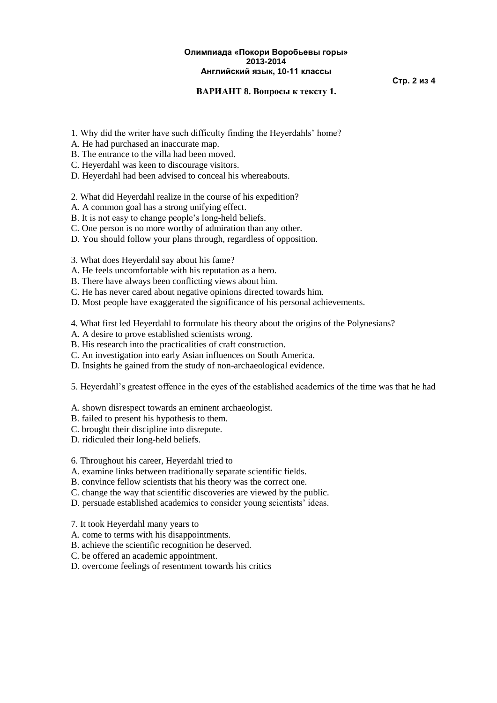**Стр. 2 из 4**

# **ВАРИАНТ 8. Вопросы к тексту 1.**

- 1. Why did the writer have such difficulty finding the Heyerdahls' home?
- A. He had purchased an inaccurate map.
- B. The entrance to the villa had been moved.
- C. Heyerdahl was keen to discourage visitors.
- D. Heyerdahl had been advised to conceal his whereabouts.
- 2. What did Heyerdahl realize in the course of his expedition?
- A. A common goal has a strong unifying effect.
- B. It is not easy to change people's long-held beliefs.
- C. One person is no more worthy of admiration than any other.
- D. You should follow your plans through, regardless of opposition.
- 3. What does Heyerdahl say about his fame?
- A. He feels uncomfortable with his reputation as a hero.
- B. There have always been conflicting views about him.
- C. He has never cared about negative opinions directed towards him.
- D. Most people have exaggerated the significance of his personal achievements.

4. What first led Heyerdahl to formulate his theory about the origins of the Polynesians?

- A. A desire to prove established scientists wrong.
- B. His research into the practicalities of craft construction.
- C. An investigation into early Asian influences on South America.
- D. Insights he gained from the study of non-archaeological evidence.

5. Heyerdahl's greatest offence in the eyes of the established academics of the time was that he had

- A. shown disrespect towards an eminent archaeologist.
- B. failed to present his hypothesis to them.
- C. brought their discipline into disrepute.
- D. ridiculed their long-held beliefs.
- 6. Throughout his career, Heyerdahl tried to
- A. examine links between traditionally separate scientific fields.
- B. convince fellow scientists that his theory was the correct one.
- C. change the way that scientific discoveries are viewed by the public.
- D. persuade established academics to consider young scientists' ideas.
- 7. It took Heyerdahl many years to
- A. come to terms with his disappointments.
- B. achieve the scientific recognition he deserved.
- C. be offered an academic appointment.
- D. overcome feelings of resentment towards his critics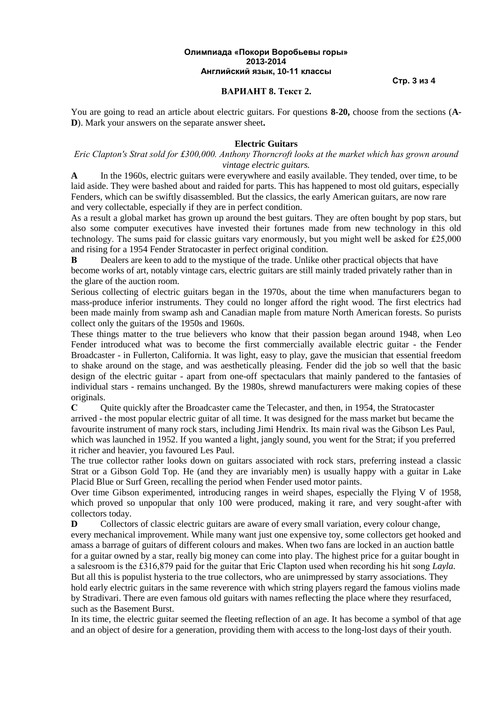**Стр. 3 из 4**

## **ВАРИАНТ 8. Текст 2.**

You are going to read an article about electric guitars. For questions **8-20,** choose from the sections (**A-D**). Mark your answers on the separate answer sheet**.**

## **Electric Guitars**

# *Eric Clapton's Strat sold for £300,000. Anthony Thorncroft looks at the market which has grown around vintage electric guitars.*

**A** In the 1960s, electric guitars were everywhere and easily available. They tended, over time, to be laid aside. They were bashed about and raided for parts. This has happened to most old guitars, especially Fenders, which can be swiftly disassembled. But the classics, the early American guitars, are now rare and very collectable, especially if they are in perfect condition.

As a result a global market has grown up around the best guitars. They are often bought by pop stars, but also some computer executives have invested their fortunes made from new technology in this old technology. The sums paid for classic guitars vary enormously, but you might well be asked for £25,000 and rising for a 1954 Fender Stratocaster in perfect original condition.

**B** Dealers are keen to add to the mystique of the trade. Unlike other practical objects that have become works of art, notably vintage cars, electric guitars are still mainly traded privately rather than in the glare of the auction room.

Serious collecting of electric guitars began in the 1970s, about the time when manufacturers began to mass-produce inferior instruments. They could no longer afford the right wood. The first electrics had been made mainly from swamp ash and Canadian maple from mature North American forests. So purists collect only the guitars of the 1950s and 1960s.

These things matter to the true believers who know that their passion began around 1948, when Leo Fender introduced what was to become the first commercially available electric guitar - the Fender Broadcaster - in Fullerton, California. It was light, easy to play, gave the musician that essential freedom to shake around on the stage, and was aesthetically pleasing. Fender did the job so well that the basic design of the electric guitar - apart from one-off spectaculars that mainly pandered to the fantasies of individual stars - remains unchanged. By the 1980s, shrewd manufacturers were making copies of these originals.

**C** Quite quickly after the Broadcaster came the Telecaster, and then, in 1954, the Stratocaster arrived - the most popular electric guitar of all time. It was designed for the mass market but became the favourite instrument of many rock stars, including Jimi Hendrix. Its main rival was the Gibson Les Paul, which was launched in 1952. If you wanted a light, jangly sound, you went for the Strat; if you preferred it richer and heavier, you favoured Les Paul.

The true collector rather looks down on guitars associated with rock stars, preferring instead a classic Strat or a Gibson Gold Top. He (and they are invariably men) is usually happy with a guitar in Lake Placid Blue or Surf Green, recalling the period when Fender used motor paints.

Over time Gibson experimented, introducing ranges in weird shapes, especially the Flying V of 1958, which proved so unpopular that only 100 were produced, making it rare, and very sought-after with collectors today.

**D** Collectors of classic electric guitars are aware of every small variation, every colour change, every mechanical improvement. While many want just one expensive toy, some collectors get hooked and amass a barrage of guitars of different colours and makes. When two fans are locked in an auction battle for a guitar owned by a star, really big money can come into play. The highest price for a guitar bought in a salesroom is the £316,879 paid for the guitar that Eric Clapton used when recording his hit song *Layla.* But all this is populist hysteria to the true collectors, who are unimpressed by starry associations. They hold early electric guitars in the same reverence with which string players regard the famous violins made by Stradivari. There are even famous old guitars with names reflecting the place where they resurfaced, such as the Basement Burst.

In its time, the electric guitar seemed the fleeting reflection of an age. It has become a symbol of that age and an object of desire for a generation, providing them with access to the long-lost days of their youth.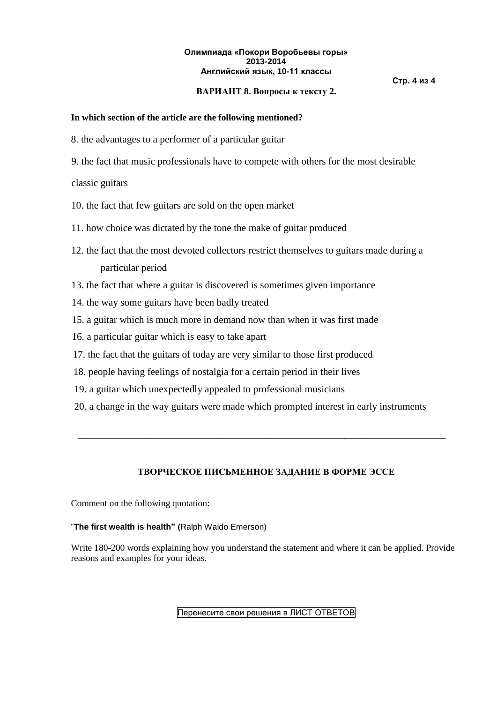## **Стр. 4 из 4**

# **ВАРИАНТ 8. Вопросы к тексту 2.**

# **In which section of the article are the following mentioned?**

- 8. the advantages to a performer of a particular guitar
- 9. the fact that music professionals have to compete with others for the most desirable

# classic guitars

- 10. the fact that few guitars are sold on the open market
- 11. how choice was dictated by the tone the make of guitar produced
- 12. the fact that the most devoted collectors restrict themselves to guitars made during a particular period
- 13. the fact that where a guitar is discovered is sometimes given importance
- 14. the way some guitars have been badly treated
- 15. a guitar which is much more in demand now than when it was first made
- 16. a particular guitar which is easy to take apart
- 17. the fact that the guitars of today are very similar to those first produced
- 18. people having feelings of nostalgia for a certain period in their lives
- 19. a guitar which unexpectedly appealed to professional musicians
- 20. a change in the way guitars were made which prompted interest in early instruments

# **ТВОРЧЕСКОЕ ПИСЬМЕННОЕ ЗАДАНИЕ В ФОРМЕ ЭССЕ**

**\_\_\_\_\_\_\_\_\_\_\_\_\_\_\_\_\_\_\_\_\_\_\_\_\_\_\_\_\_\_\_\_\_\_\_\_\_\_\_\_\_\_\_\_\_\_\_\_\_\_\_\_\_\_\_\_\_\_\_\_\_\_\_\_\_\_\_\_\_\_\_\_\_\_\_\_\_\_\_\_**

Comment on the following quotation:

# "**The first wealth is health" (**Ralph Waldo Emerson)

Write 180-200 words explaining how you understand the statement and where it can be applied. Provide reasons and examples for your ideas.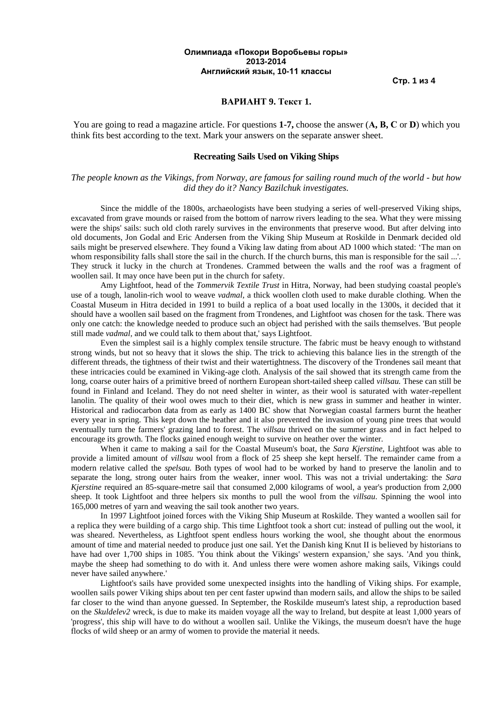**Стр. 1 из 4**

#### **ВАРИАНТ 9. Текст 1.**

You are going to read a magazine article. For questions **1-7,** choose the answer (**А, В, С** or **D**) which you think fits best according to the text. Mark your answers on the separate answer sheet.

#### **Recreating Sails Used on Viking Ships**

*The people known as the Vikings, from Norway, are famous for sailing round much of the world - but how did they do it? Nancy Bazilchuk investigates.*

Since the middle of the 1800s, archaeologists have been studying a series of well-preserved Viking ships, excavated from grave mounds or raised from the bottom of narrow rivers leading to the sea. What they were missing were the ships' sails: such old cloth rarely survives in the environments that preserve wood. But after delving into old documents, Jon Godal and Eric Andersen from the Viking Ship Museum at Roskilde in Denmark decided old sails might be preserved elsewhere. They found a Viking law dating from about AD 1000 which stated: 'The man on whom responsibility falls shall store the sail in the church. If the church burns, this man is responsible for the sail ...'. They struck it lucky in the church at Trondenes. Crammed between the walls and the roof was a fragment of woollen sail. It may once have been put in the church for safety.

Amy Lightfoot, head of the *Tommervik Textile Trust* in Hitra, Norway, had been studying coastal people's use of a tough, lanolin-rich wool to weave *vadmal,* a thick woollen cloth used to make durable clothing. When the Coastal Museum in Hitra decided in 1991 to build a replica of a boat used locally in the 1300s, it decided that it should have a woollen sail based on the fragment from Trondenes, and Lightfoot was chosen for the task. There was only one catch: the knowledge needed to produce such an object had perished with the sails themselves. 'But people still made *vadmal,* and we could talk to them about that,' says Lightfoot.

Even the simplest sail is a highly complex tensile structure. The fabric must be heavy enough to withstand strong winds, but not so heavy that it slows the ship. The trick to achieving this balance lies in the strength of the different threads, the tightness of their twist and their watertightness. The discovery of the Trondenes sail meant that these intricacies could be examined in Viking-age cloth. Analysis of the sail showed that its strength came from the long, coarse outer hairs of a primitive breed of northern European short-tailed sheep called *villsau.* These can still be found in Finland and Iceland. They do not need shelter in winter, as their wool is saturated with water-repellent lanolin. The quality of their wool owes much to their diet, which is new grass in summer and heather in winter. Historical and radiocarbon data from as early as 1400 ВС show that Norwegian coastal farmers burnt the heather every year in spring. This kept down the heather and it also prevented the invasion of young pine trees that would eventually turn the farmers' grazing land to forest. The *villsau* thrived on the summer grass and in fact helped to encourage its growth. The flocks gained enough weight to survive on heather over the winter.

When it came to making a sail for the Coastal Museum's boat, the *Sara Kjerstine,* Lightfoot was able to provide a limited amount of *villsau* wool from a flock of 25 sheep she kept herself. The remainder came from a modern relative called the *spelsau.* Both types of wool had to be worked by hand to preserve the lanolin and to separate the long, strong outer hairs from the weaker, inner wool. This was not a trivial undertaking: the *Sara Kjerstine* required an 85-square-metre sail that consumed 2,000 kilograms of wool, a year's production from 2,000 sheep. It took Lightfoot and three helpers six months to pull the wool from the *villsau.* Spinning the wool into 165,000 metres of yarn and weaving the sail took another two years.

In 1997 Lightfoot joined forces with the Viking Ship Museum at Roskilde. They wanted a woollen sail for a replica they were building of a cargo ship. This time Lightfoot took a short cut: instead of pulling out the wool, it was sheared. Nevertheless, as Lightfoot spent endless hours working the wool, she thought about the enormous amount of time and material needed to produce just one sail. Yet the Danish king Knut II is believed by historians to have had over 1,700 ships in 1085. 'You think about the Vikings' western expansion,' she says. 'And you think, maybe the sheep had something to do with it. And unless there were women ashore making sails, Vikings could never have sailed anywhere.'

Lightfoot's sails have provided some unexpected insights into the handling of Viking ships. For example, woollen sails power Viking ships about ten per cent faster upwind than modern sails, and allow the ships to be sailed far closer to the wind than anyone guessed. In September, the Roskilde museum's latest ship, a reproduction based on the *Skuldelev2* wreck, is due to make its maiden voyage all the way to Ireland, but despite at least 1,000 years of 'progress', this ship will have to do without a woollen sail. Unlike the Vikings, the museum doesn't have the huge flocks of wild sheep or an army of women to provide the material it needs.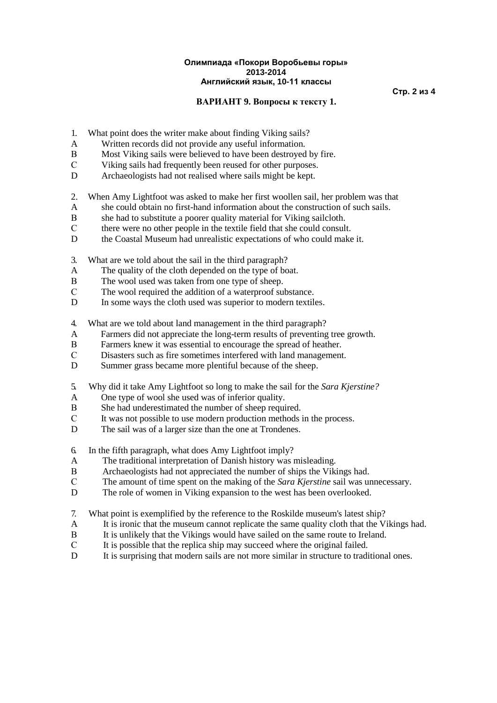## **ВАРИАНТ 9. Вопросы к тексту 1.**

**Стр. 2 из 4**

- 1. What point does the writer make about finding Viking sails?
- A Written records did not provide any useful information.
- B Most Viking sails were believed to have been destroved by fire.
- С Viking sails had frequently been reused for other purposes.
- D Archaeologists had not realised where sails might be kept.
- 2. When Amy Lightfoot was asked to make her first woollen sail, her problem was that
- A she could obtain no first-hand information about the construction of such sails.
- B she had to substitute a poorer quality material for Viking sailcloth.
- C there were no other people in the textile field that she could consult.
- D the Coastal Museum had unrealistic expectations of who could make it.
- 3. What are we told about the sail in the third paragraph?
- A The quality of the cloth depended on the type of boat.
- B The wool used was taken from one type of sheep.
- С The wool required the addition of a waterproof substance.
- D In some ways the cloth used was superior to modern textiles.
- 4. What are we told about land management in the third paragraph?
- A Farmers did not appreciate the long-term results of preventing tree growth.
- B Farmers knew it was essential to encourage the spread of heather.
- С Disasters such as fire sometimes interfered with land management.
- D Summer grass became more plentiful because of the sheep.
- 5. Why did it take Amy Lightfoot so long to make the sail for the *Sara Kjerstine?*
- A One type of wool she used was of inferior quality.
- B She had underestimated the number of sheep required.
- C It was not possible to use modern production methods in the process.
- D The sail was of a larger size than the one at Trondenes.
- 6. In the fifth paragraph, what does Amy Lightfoot imply?
- A The traditional interpretation of Danish history was misleading.
- B Archaeologists had not appreciated the number of ships the Vikings had.
- С The amount of time spent on the making of the *Sara Kjerstine* sail was unnecessary.
- D The role of women in Viking expansion to the west has been overlooked.
- 7. What point is exemplified by the reference to the Roskilde museum's latest ship?
- A It is ironic that the museum cannot replicate the same quality cloth that the Vikings had.
- B It is unlikely that the Vikings would have sailed on the same route to Ireland.
- С It is possible that the replica ship may succeed where the original failed.
- D It is surprising that modern sails are not more similar in structure to traditional ones.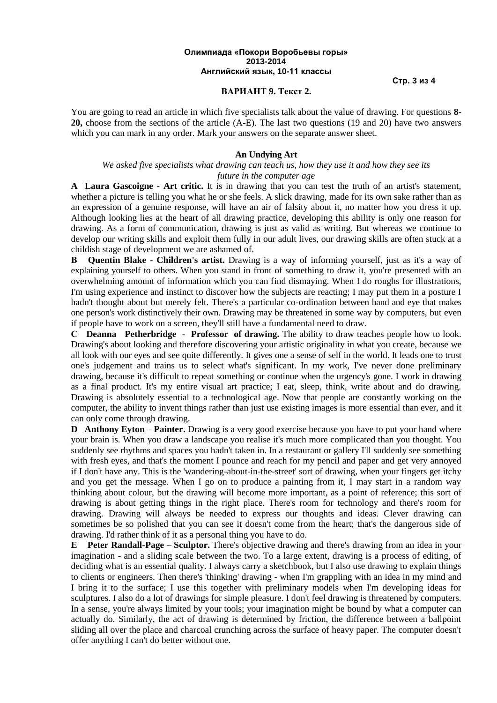**Стр. 3 из 4**

### **ВАРИАНТ 9. Текст 2.**

You are going to read an article in which five specialists talk about the value of drawing. For questions **8- 20,** choose from the sections of the article (A-E). The last two questions (19 and 20) have two answers which you can mark in any order. Mark your answers on the separate answer sheet.

# **An Undying Art**

# *We asked five specialists what drawing can teach us, how they use it and how they see its future in the computer age*

**A Laura Gascoigne - Art critic.** It is in drawing that you can test the truth of an artist's statement, whether a picture is telling you what he or she feels. A slick drawing, made for its own sake rather than as an expression of a genuine response, will have an air of falsity about it, no matter how you dress it up. Although looking lies at the heart of all drawing practice, developing this ability is only one reason for drawing. As a form of communication, drawing is just as valid as writing. But whereas we continue to develop our writing skills and exploit them fully in our adult lives, our drawing skills are often stuck at a childish stage of development we are ashamed of.

**В Quentin Blake - Children's artist.** Drawing is a way of informing yourself, just as it's a way of explaining yourself to others. When you stand in front of something to draw it, you're presented with an overwhelming amount of information which you can find dismaying. When I do roughs for illustrations, I'm using experience and instinct to discover how the subjects are reacting; I may put them in a posture I hadn't thought about but merely felt. There's a particular co-ordination between hand and eye that makes one person's work distinctively their own. Drawing may be threatened in some way by computers, but even if people have to work on a screen, they'll still have a fundamental need to draw.

**С Deanna Petherbridge - Professor of drawing.** The ability to draw teaches people how to look. Drawing's about looking and therefore discovering your artistic originality in what you create, because we all look with our eyes and see quite differently. It gives one a sense of self in the world. It leads one to trust one's judgement and trains us to select what's significant. In my work, I've never done preliminary drawing, because it's difficult to repeat something or continue when the urgency's gone. I work in drawing as a final product. It's my entire visual art practice; I eat, sleep, think, write about and do drawing. Drawing is absolutely essential to a technological age. Now that people are constantly working on the computer, the ability to invent things rather than just use existing images is more essential than ever, and it can only come through drawing.

**D Anthony Eyton – Painter.** Drawing is a very good exercise because you have to put your hand where your brain is. When you draw a landscape you realise it's much more complicated than you thought. You suddenly see rhythms and spaces you hadn't taken in. In a restaurant or gallery I'll suddenly see something with fresh eyes, and that's the moment I pounce and reach for my pencil and paper and get very annoyed if I don't have any. This is the 'wandering-about-in-the-street' sort of drawing, when your fingers get itchy and you get the message. When I go on to produce a painting from it, I may start in a random way thinking about colour, but the drawing will become more important, as a point of reference; this sort of drawing is about getting things in the right place. There's room for technology and there's room for drawing. Drawing will always be needed to express our thoughts and ideas. Clever drawing can sometimes be so polished that you can see it doesn't come from the heart; that's the dangerous side of drawing. I'd rather think of it as a personal thing you have to do.

**E Peter Randall-Page – Sculptor.** There's objective drawing and there's drawing from an idea in your imagination - and a sliding scale between the two. To a large extent, drawing is a process of editing, of deciding what is an essential quality. I always carry a sketchbook, but I also use drawing to explain things to clients or engineers. Then there's 'thinking' drawing - when I'm grappling with an idea in my mind and I bring it to the surface; I use this together with preliminary models when I'm developing ideas for sculptures. I also do a lot of drawings for simple pleasure. I don't feel drawing is threatened by computers. In a sense, you're always limited by your tools; your imagination might be bound by what a computer can actually do. Similarly, the act of drawing is determined by friction, the difference between a ballpoint sliding all over the place and charcoal crunching across the surface of heavy paper. The computer doesn't offer anything I can't do better without one.